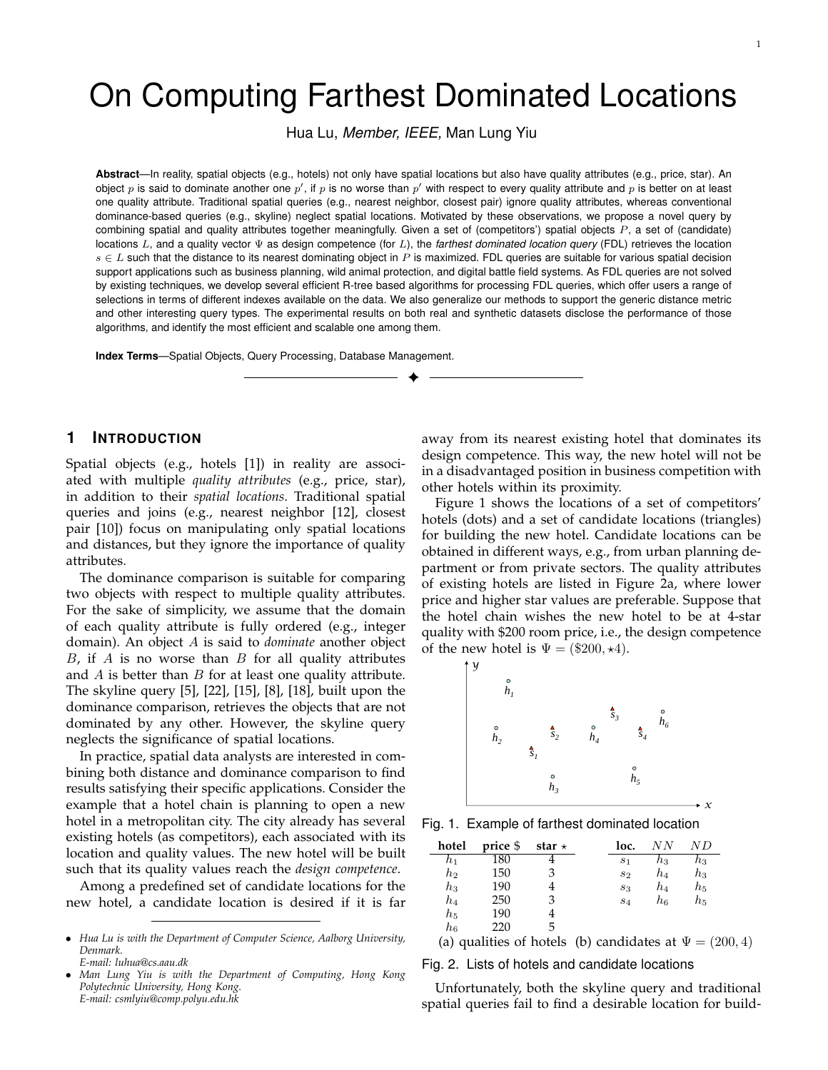# On Computing Farthest Dominated Locations

Hua Lu, *Member, IEEE,* Man Lung Yiu

**Abstract**—In reality, spatial objects (e.g., hotels) not only have spatial locations but also have quality attributes (e.g., price, star). An object p is said to dominate another one p', if p is no worse than p' with respect to every quality attribute and p is better on at least one quality attribute. Traditional spatial queries (e.g., nearest neighbor, closest pair) ignore quality attributes, whereas conventional dominance-based queries (e.g., skyline) neglect spatial locations. Motivated by these observations, we propose a novel query by combining spatial and quality attributes together meaningfully. Given a set of (competitors') spatial objects  $P$ , a set of (candidate) locations L, and a quality vector Ψ as design competence (for L), the *farthest dominated location query* (FDL) retrieves the location  $s \in L$  such that the distance to its nearest dominating object in P is maximized. FDL queries are suitable for various spatial decision support applications such as business planning, wild animal protection, and digital battle field systems. As FDL queries are not solved by existing techniques, we develop several efficient R-tree based algorithms for processing FDL queries, which offer users a range of selections in terms of different indexes available on the data. We also generalize our methods to support the generic distance metric and other interesting query types. The experimental results on both real and synthetic datasets disclose the performance of those algorithms, and identify the most efficient and scalable one among them.

✦

**Index Terms**—Spatial Objects, Query Processing, Database Management.

# **1 INTRODUCTION**

Spatial objects (e.g., hotels [1]) in reality are associated with multiple *quality attributes* (e.g., price, star), in addition to their *spatial locations*. Traditional spatial queries and joins (e.g., nearest neighbor [12], closest pair [10]) focus on manipulating only spatial locations and distances, but they ignore the importance of quality attributes.

The dominance comparison is suitable for comparing two objects with respect to multiple quality attributes. For the sake of simplicity, we assume that the domain of each quality attribute is fully ordered (e.g., integer domain). An object A is said to *dominate* another object  $B$ , if  $A$  is no worse than  $B$  for all quality attributes and  $A$  is better than  $B$  for at least one quality attribute. The skyline query [5], [22], [15], [8], [18], built upon the dominance comparison, retrieves the objects that are not dominated by any other. However, the skyline query neglects the significance of spatial locations.

In practice, spatial data analysts are interested in combining both distance and dominance comparison to find results satisfying their specific applications. Consider the example that a hotel chain is planning to open a new hotel in a metropolitan city. The city already has several existing hotels (as competitors), each associated with its location and quality values. The new hotel will be built such that its quality values reach the *design competence*.

Among a predefined set of candidate locations for the new hotel, a candidate location is desired if it is far

away from its nearest existing hotel that dominates its design competence. This way, the new hotel will not be in a disadvantaged position in business competition with other hotels within its proximity.

Figure 1 shows the locations of a set of competitors' hotels (dots) and a set of candidate locations (triangles) for building the new hotel. Candidate locations can be obtained in different ways, e.g., from urban planning department or from private sectors. The quality attributes of existing hotels are listed in Figure 2a, where lower price and higher star values are preferable. Suppose that the hotel chain wishes the new hotel to be at 4-star quality with \$200 room price, i.e., the design competence of the new hotel is  $\Psi = (\$200, \star 4)$ .



Fig. 1. Example of farthest dominated location

| hotel            | price \$ | star $\star$ | loc.           | N N   | ΝD      |
|------------------|----------|--------------|----------------|-------|---------|
| h1               | 180      |              | S <sub>1</sub> | $h_3$ | $h_3$   |
| $h_2$            | 150      | З            | $s_2$          | $h_4$ | $h_{3}$ |
| $h_3$            | 190      |              | $s_3$          | $h_4$ | $h_{5}$ |
| $h_4$            | 250      |              | $S_4$          | $h_6$ | $h_{5}$ |
| $h_5$            | 190      |              |                |       |         |
| $\mathfrak{h}_6$ | 220      | h            |                |       |         |
|                  |          |              |                |       |         |

(a) qualities of hotels (b) candidates at  $\Psi = (200, 4)$ 

*x*

Fig. 2. Lists of hotels and candidate locations

Unfortunately, both the skyline query and traditional spatial queries fail to find a desirable location for build-

<sup>•</sup> *Hua Lu is with the Department of Computer Science, Aalborg University, Denmark. E-mail: luhua@cs.aau.dk*

<sup>•</sup> *Man Lung Yiu is with the Department of Computing, Hong Kong Polytechnic University, Hong Kong. E-mail: csmlyiu@comp.polyu.edu.hk*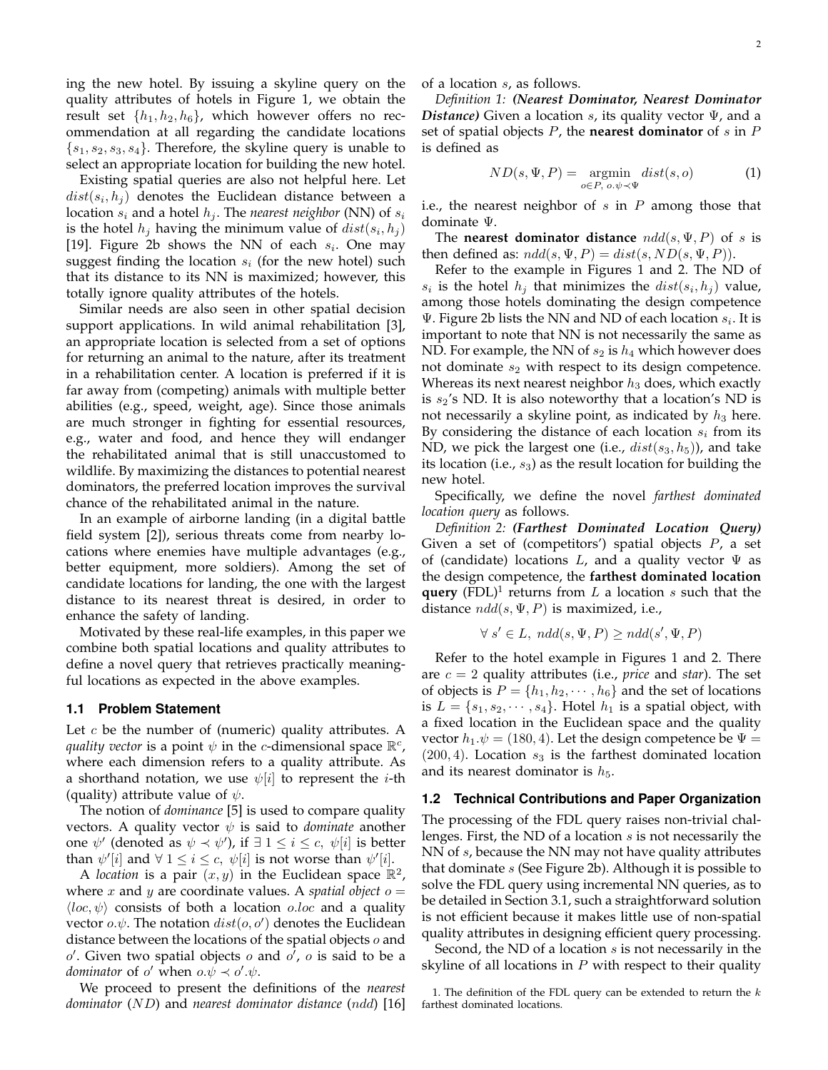ing the new hotel. By issuing a skyline query on the quality attributes of hotels in Figure 1, we obtain the result set  $\{h_1, h_2, h_6\}$ , which however offers no recommendation at all regarding the candidate locations  $\{s_1, s_2, s_3, s_4\}$ . Therefore, the skyline query is unable to select an appropriate location for building the new hotel.

Existing spatial queries are also not helpful here. Let  $dist(s_i, h_j)$  denotes the Euclidean distance between a location  $s_i$  and a hotel  $h_j$ . The *nearest neighbor* (NN) of  $s_i$ is the hotel  $h_j$  having the minimum value of  $dist(s_i, h_j)$ [19]. Figure 2b shows the NN of each  $s_i$ . One may suggest finding the location  $s_i$  (for the new hotel) such that its distance to its NN is maximized; however, this totally ignore quality attributes of the hotels.

Similar needs are also seen in other spatial decision support applications. In wild animal rehabilitation [3], an appropriate location is selected from a set of options for returning an animal to the nature, after its treatment in a rehabilitation center. A location is preferred if it is far away from (competing) animals with multiple better abilities (e.g., speed, weight, age). Since those animals are much stronger in fighting for essential resources, e.g., water and food, and hence they will endanger the rehabilitated animal that is still unaccustomed to wildlife. By maximizing the distances to potential nearest dominators, the preferred location improves the survival chance of the rehabilitated animal in the nature.

In an example of airborne landing (in a digital battle field system [2]), serious threats come from nearby locations where enemies have multiple advantages (e.g., better equipment, more soldiers). Among the set of candidate locations for landing, the one with the largest distance to its nearest threat is desired, in order to enhance the safety of landing.

Motivated by these real-life examples, in this paper we combine both spatial locations and quality attributes to define a novel query that retrieves practically meaningful locations as expected in the above examples.

#### **1.1 Problem Statement**

Let  $c$  be the number of (numeric) quality attributes. A *quality vector* is a point  $\psi$  in the *c*-dimensional space  $\mathbb{R}^c$ , where each dimension refers to a quality attribute. As a shorthand notation, we use  $\psi[i]$  to represent the *i*-th (quality) attribute value of  $\psi$ .

The notion of *dominance* [5] is used to compare quality vectors. A quality vector  $\psi$  is said to *dominate* another one  $\psi'$  (denoted as  $\psi \prec \psi'$ ), if  $\exists$  1  $\leq i \leq c$ ,  $\psi[i]$  is better than  $\psi'[i]$  and  $\forall$   $1 \leq i \leq c$ ,  $\psi[i]$  is not worse than  $\psi'[i]$ .

A *location* is a pair  $(x, y)$  in the Euclidean space  $\mathbb{R}^2$ , where  $x$  and  $y$  are coordinate values. A *spatial object*  $o =$  $\langle loc, \psi \rangle$  consists of both a location *o.loc* and a quality vector  $o.\psi$ . The notation  $dist(o, o')$  denotes the Euclidean distance between the locations of the spatial objects  $o$  and  $o'$ . Given two spatial objects  $o$  and  $o'$ ,  $o$  is said to be a *dominator* of  $o'$  when  $o.\psi \prec o'.\psi$ .

We proceed to present the definitions of the *nearest dominator* (ND) and *nearest dominator distance* (ndd) [16] of a location s, as follows.

*Definition 1: (Nearest Dominator, Nearest Dominator Distance)* Given a location s, its quality vector Ψ, and a set of spatial objects P, the **nearest dominator** of s in P is defined as

$$
ND(s, \Psi, P) = \underset{o \in P, o, \psi \prec \Psi}{\operatorname{argmin}} \; dist(s, o) \tag{1}
$$

i.e., the nearest neighbor of  $s$  in  $P$  among those that dominate Ψ.

The **nearest dominator distance**  $ndd(s, \Psi, P)$  of s is then defined as:  $n d d(s, \Psi, P) = dist(s, ND(s, \Psi, P)).$ 

Refer to the example in Figures 1 and 2. The ND of  $s_i$  is the hotel  $h_j$  that minimizes the  $dist(s_i, h_j)$  value, among those hotels dominating the design competence  $\Psi$ . Figure 2b lists the NN and ND of each location  $s_i$ . It is important to note that NN is not necessarily the same as ND. For example, the NN of  $s_2$  is  $h_4$  which however does not dominate  $s_2$  with respect to its design competence. Whereas its next nearest neighbor  $h_3$  does, which exactly is  $s_2$ 's ND. It is also noteworthy that a location's ND is not necessarily a skyline point, as indicated by  $h_3$  here. By considering the distance of each location  $s_i$  from its ND, we pick the largest one (i.e.,  $dist(s_3, h_5)$ ), and take its location (i.e.,  $s_3$ ) as the result location for building the new hotel.

Specifically, we define the novel *farthest dominated location query* as follows.

*Definition 2: (Farthest Dominated Location Query)* Given a set of (competitors') spatial objects  $P$ , a set of (candidate) locations L, and a quality vector  $\Psi$  as the design competence, the **farthest dominated location query** (FDL)<sup>1</sup> returns from  $L$  a location  $s$  such that the distance  $n d d(s, \Psi, P)$  is maximized, i.e.,

$$
\forall s' \in L, \; ndd(s, \Psi, P) \geq ndd(s', \Psi, P)
$$

Refer to the hotel example in Figures 1 and 2. There are c = 2 quality attributes (i.e., *price* and *star*). The set of objects is  $P = \{h_1, h_2, \dots, h_6\}$  and the set of locations is  $L = \{s_1, s_2, \dots, s_4\}$ . Hotel  $h_1$  is a spatial object, with a fixed location in the Euclidean space and the quality vector  $h_1.\psi = (180, 4)$ . Let the design competence be  $\Psi =$  $(200, 4)$ . Location  $s<sub>3</sub>$  is the farthest dominated location and its nearest dominator is  $h_5$ .

#### **1.2 Technical Contributions and Paper Organization**

The processing of the FDL query raises non-trivial challenges. First, the ND of a location s is not necessarily the NN of s, because the NN may not have quality attributes that dominate  $s$  (See Figure 2b). Although it is possible to solve the FDL query using incremental NN queries, as to be detailed in Section 3.1, such a straightforward solution is not efficient because it makes little use of non-spatial quality attributes in designing efficient query processing.

Second, the ND of a location  $s$  is not necessarily in the skyline of all locations in  $P$  with respect to their quality

<sup>1.</sup> The definition of the FDL query can be extended to return the  $k$ farthest dominated locations.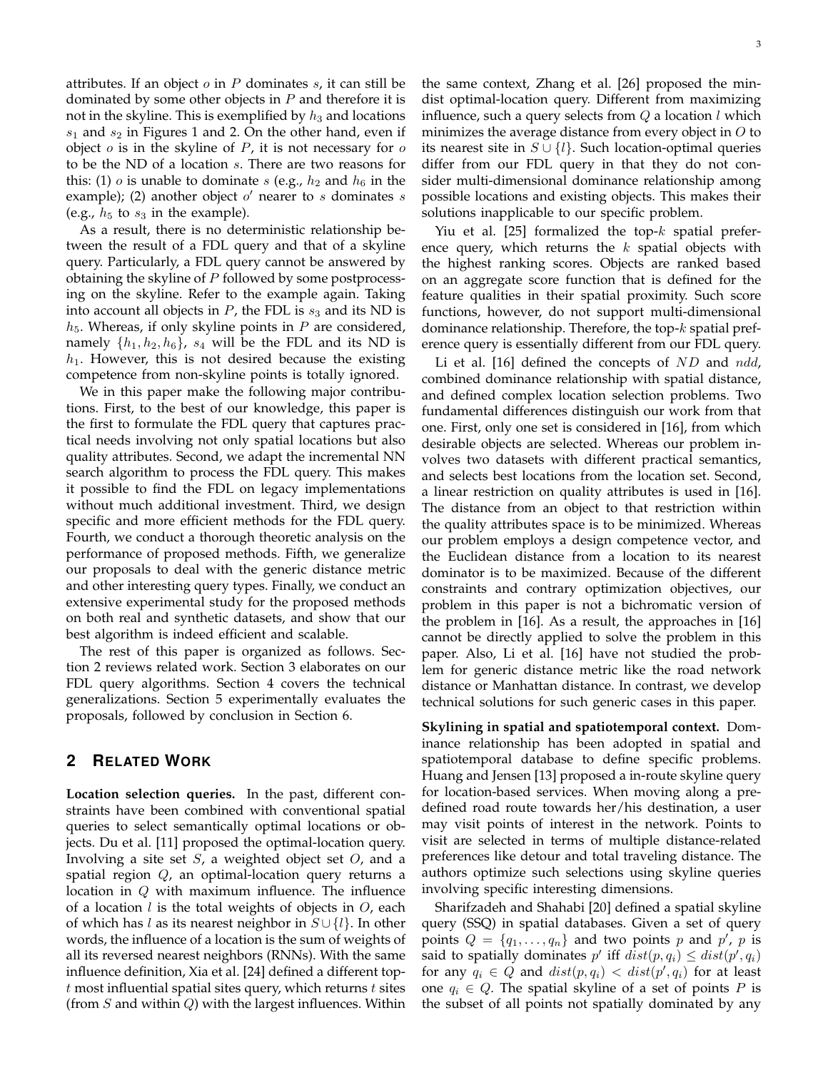attributes. If an object  $o$  in  $P$  dominates  $s$ , it can still be dominated by some other objects in  $P$  and therefore it is not in the skyline. This is exemplified by  $h_3$  and locations  $s_1$  and  $s_2$  in Figures 1 and 2. On the other hand, even if object  $o$  is in the skyline of  $P$ , it is not necessary for  $o$ to be the ND of a location s. There are two reasons for this: (1) o is unable to dominate s (e.g.,  $h_2$  and  $h_6$  in the example); (2) another object  $o'$  nearer to  $s$  dominates  $s$ (e.g.,  $h_5$  to  $s_3$  in the example).

As a result, there is no deterministic relationship between the result of a FDL query and that of a skyline query. Particularly, a FDL query cannot be answered by obtaining the skyline of  $P$  followed by some postprocessing on the skyline. Refer to the example again. Taking into account all objects in  $P$ , the FDL is  $s_3$  and its ND is  $h_5$ . Whereas, if only skyline points in  $P$  are considered, namely  $\{h_1, h_2, h_6\}$ ,  $s_4$  will be the FDL and its ND is  $h_1$ . However, this is not desired because the existing competence from non-skyline points is totally ignored.

We in this paper make the following major contributions. First, to the best of our knowledge, this paper is the first to formulate the FDL query that captures practical needs involving not only spatial locations but also quality attributes. Second, we adapt the incremental NN search algorithm to process the FDL query. This makes it possible to find the FDL on legacy implementations without much additional investment. Third, we design specific and more efficient methods for the FDL query. Fourth, we conduct a thorough theoretic analysis on the performance of proposed methods. Fifth, we generalize our proposals to deal with the generic distance metric and other interesting query types. Finally, we conduct an extensive experimental study for the proposed methods on both real and synthetic datasets, and show that our best algorithm is indeed efficient and scalable.

The rest of this paper is organized as follows. Section 2 reviews related work. Section 3 elaborates on our FDL query algorithms. Section 4 covers the technical generalizations. Section 5 experimentally evaluates the proposals, followed by conclusion in Section 6.

# **2 RELATED WORK**

**Location selection queries.** In the past, different constraints have been combined with conventional spatial queries to select semantically optimal locations or objects. Du et al. [11] proposed the optimal-location query. Involving a site set  $S$ , a weighted object set  $O$ , and a spatial region  $Q$ , an optimal-location query returns a location in  $Q$  with maximum influence. The influence of a location l is the total weights of objects in  $O$ , each of which has l as its nearest neighbor in  $S \cup \{l\}$ . In other words, the influence of a location is the sum of weights of all its reversed nearest neighbors (RNNs). With the same influence definition, Xia et al. [24] defined a different top $t$  most influential spatial sites query, which returns  $t$  sites (from  $S$  and within  $Q$ ) with the largest influences. Within the same context, Zhang et al. [26] proposed the mindist optimal-location query. Different from maximizing influence, such a query selects from  $Q$  a location l which minimizes the average distance from every object in  $O$  to its nearest site in  $S \cup \{l\}$ . Such location-optimal queries differ from our FDL query in that they do not consider multi-dimensional dominance relationship among possible locations and existing objects. This makes their solutions inapplicable to our specific problem.

Yiu et al. [25] formalized the top- $k$  spatial preference query, which returns the  $k$  spatial objects with the highest ranking scores. Objects are ranked based on an aggregate score function that is defined for the feature qualities in their spatial proximity. Such score functions, however, do not support multi-dimensional dominance relationship. Therefore, the top-k spatial preference query is essentially different from our FDL query.

Li et al. [16] defined the concepts of  $ND$  and  $ndd$ , combined dominance relationship with spatial distance, and defined complex location selection problems. Two fundamental differences distinguish our work from that one. First, only one set is considered in [16], from which desirable objects are selected. Whereas our problem involves two datasets with different practical semantics, and selects best locations from the location set. Second, a linear restriction on quality attributes is used in [16]. The distance from an object to that restriction within the quality attributes space is to be minimized. Whereas our problem employs a design competence vector, and the Euclidean distance from a location to its nearest dominator is to be maximized. Because of the different constraints and contrary optimization objectives, our problem in this paper is not a bichromatic version of the problem in [16]. As a result, the approaches in [16] cannot be directly applied to solve the problem in this paper. Also, Li et al. [16] have not studied the problem for generic distance metric like the road network distance or Manhattan distance. In contrast, we develop technical solutions for such generic cases in this paper.

**Skylining in spatial and spatiotemporal context.** Dominance relationship has been adopted in spatial and spatiotemporal database to define specific problems. Huang and Jensen [13] proposed a in-route skyline query for location-based services. When moving along a predefined road route towards her/his destination, a user may visit points of interest in the network. Points to visit are selected in terms of multiple distance-related preferences like detour and total traveling distance. The authors optimize such selections using skyline queries involving specific interesting dimensions.

Sharifzadeh and Shahabi [20] defined a spatial skyline query (SSQ) in spatial databases. Given a set of query points  $Q = \{q_1, \ldots, q_n\}$  and two points p and p', p is said to spatially dominates  $p'$  iff  $dist(p, q_i) \leq dist(p', q_i)$ for any  $q_i \in Q$  and  $dist(p, q_i) < dist(p', q_i)$  for at least one  $q_i \in Q$ . The spatial skyline of a set of points P is the subset of all points not spatially dominated by any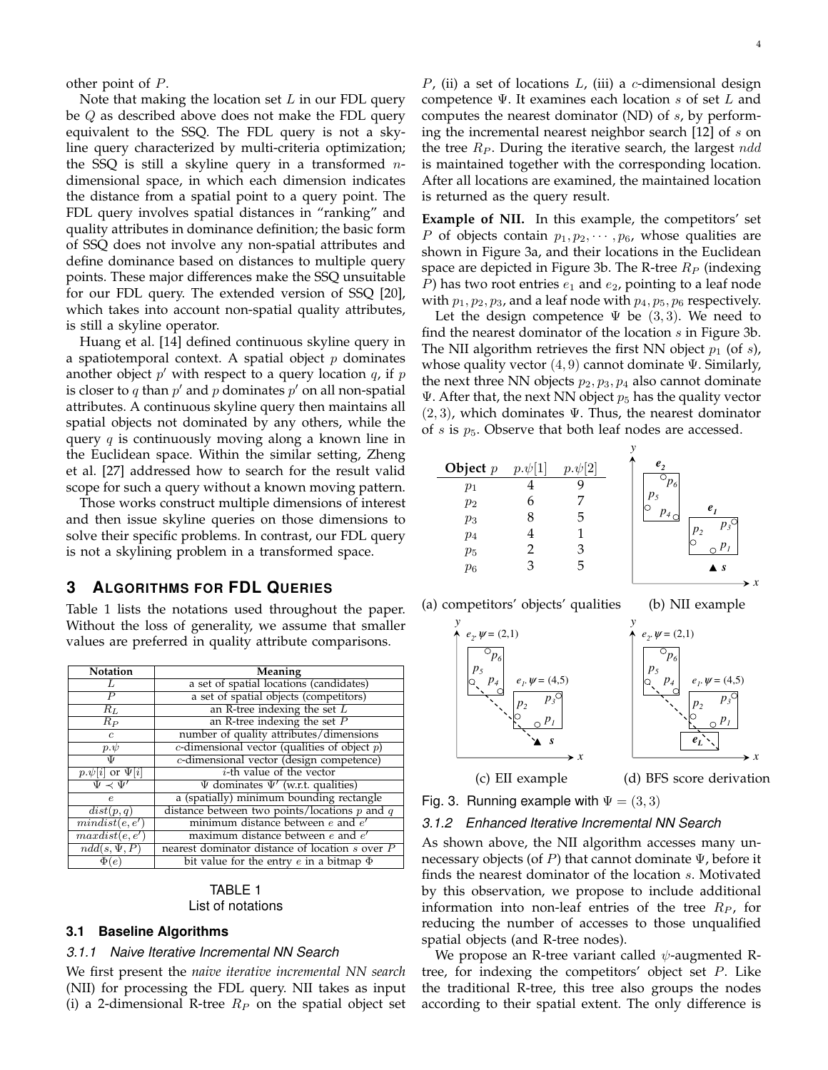other point of P.

Note that making the location set  $L$  in our FDL query be  $Q$  as described above does not make the FDL query equivalent to the SSQ. The FDL query is not a skyline query characterized by multi-criteria optimization; the SSQ is still a skyline query in a transformed  $n$ dimensional space, in which each dimension indicates the distance from a spatial point to a query point. The FDL query involves spatial distances in "ranking" and quality attributes in dominance definition; the basic form of SSQ does not involve any non-spatial attributes and define dominance based on distances to multiple query points. These major differences make the SSQ unsuitable for our FDL query. The extended version of SSQ [20], which takes into account non-spatial quality attributes, is still a skyline operator.

Huang et al. [14] defined continuous skyline query in a spatiotemporal context. A spatial object  $p$  dominates another object  $p'$  with respect to a query location  $q$ , if  $p$ is closer to q than  $p'$  and  $p$  dominates  $p'$  on all non-spatial attributes. A continuous skyline query then maintains all spatial objects not dominated by any others, while the query  $q$  is continuously moving along a known line in the Euclidean space. Within the similar setting, Zheng et al. [27] addressed how to search for the result valid scope for such a query without a known moving pattern.

Those works construct multiple dimensions of interest and then issue skyline queries on those dimensions to solve their specific problems. In contrast, our FDL query is not a skylining problem in a transformed space.

# **3 ALGORITHMS FOR FDL QUERIES**

Table 1 lists the notations used throughout the paper. Without the loss of generality, we assume that smaller values are preferred in quality attribute comparisons.

| <b>Notation</b>             | Meaning                                            |
|-----------------------------|----------------------------------------------------|
| Ι,                          | a set of spatial locations (candidates)            |
| Р                           | a set of spatial objects (competitors)             |
| $R_L$                       | an R-tree indexing the set $L$                     |
| $R_P$                       | an R-tree indexing the set $P$                     |
| $\mathfrak{c}$              | number of quality attributes/dimensions            |
| $p.\psi$                    | $c$ -dimensional vector (qualities of object $p$ ) |
| Ψ                           | c-dimensional vector (design competence)           |
| $p.\psi[i]$ or $\Psi[i]$    | $i$ -th value of the vector                        |
| $\Psi \prec \Psi'$          | $\Psi$ dominates $\Psi'$ (w.r.t. qualities)        |
| $\epsilon$                  | a (spatially) minimum bounding rectangle           |
| dist(p,q)                   | distance between two points/locations $p$ and $q$  |
| $\overline{mindist}(e, e')$ | minimum distance between $e$ and $e'$              |
| maxdist(e, e')              | maximum distance between $e$ and $e'$              |
| $ndd(s,\Psi,P)$             | nearest dominator distance of location s over P    |
| $\Phi(e)$                   | bit value for the entry $e$ in a bitmap $\Phi$     |

## TABLE 1 List of notations

## **3.1 Baseline Algorithms**

## *3.1.1 Naive Iterative Incremental NN Search*

We first present the *naive iterative incremental NN search* (NII) for processing the FDL query. NII takes as input (i) a 2-dimensional R-tree  $R_P$  on the spatial object set

P, (ii) a set of locations  $L$ , (iii) a c-dimensional design competence  $\Psi$ . It examines each location s of set L and computes the nearest dominator (ND) of s, by performing the incremental nearest neighbor search  $[12]$  of s on the tree  $R_P$ . During the iterative search, the largest  $n d d$ is maintained together with the corresponding location. After all locations are examined, the maintained location is returned as the query result.

**Example of NII.** In this example, the competitors' set P of objects contain  $p_1, p_2, \cdots, p_6$ , whose qualities are shown in Figure 3a, and their locations in the Euclidean space are depicted in Figure 3b. The R-tree  $R_P$  (indexing P) has two root entries  $e_1$  and  $e_2$ , pointing to a leaf node with  $p_1, p_2, p_3$ , and a leaf node with  $p_4, p_5, p_6$  respectively.

Let the design competence  $\Psi$  be (3,3). We need to find the nearest dominator of the location  $s$  in Figure 3b. The NII algorithm retrieves the first NN object  $p_1$  (of s), whose quality vector  $(4, 9)$  cannot dominate  $\Psi$ . Similarly, the next three NN objects  $p_2, p_3, p_4$  also cannot dominate  $\Psi$ . After that, the next NN object  $p_5$  has the quality vector  $(2, 3)$ , which dominates  $\Psi$ . Thus, the nearest dominator of  $s$  is  $p_5$ . Observe that both leaf nodes are accessed.



(a) competitors' objects' qualities (b) NII example





(c) EII example (d) BFS score derivation

Fig. 3. Running example with  $\Psi = (3,3)$ 

*3.1.2 Enhanced Iterative Incremental NN Search*

As shown above, the NII algorithm accesses many unnecessary objects (of P) that cannot dominate  $\Psi$ , before it finds the nearest dominator of the location s. Motivated by this observation, we propose to include additional information into non-leaf entries of the tree  $R_P$ , for reducing the number of accesses to those unqualified spatial objects (and R-tree nodes).

We propose an R-tree variant called  $\psi$ -augmented Rtree, for indexing the competitors' object set P. Like the traditional R-tree, this tree also groups the nodes according to their spatial extent. The only difference is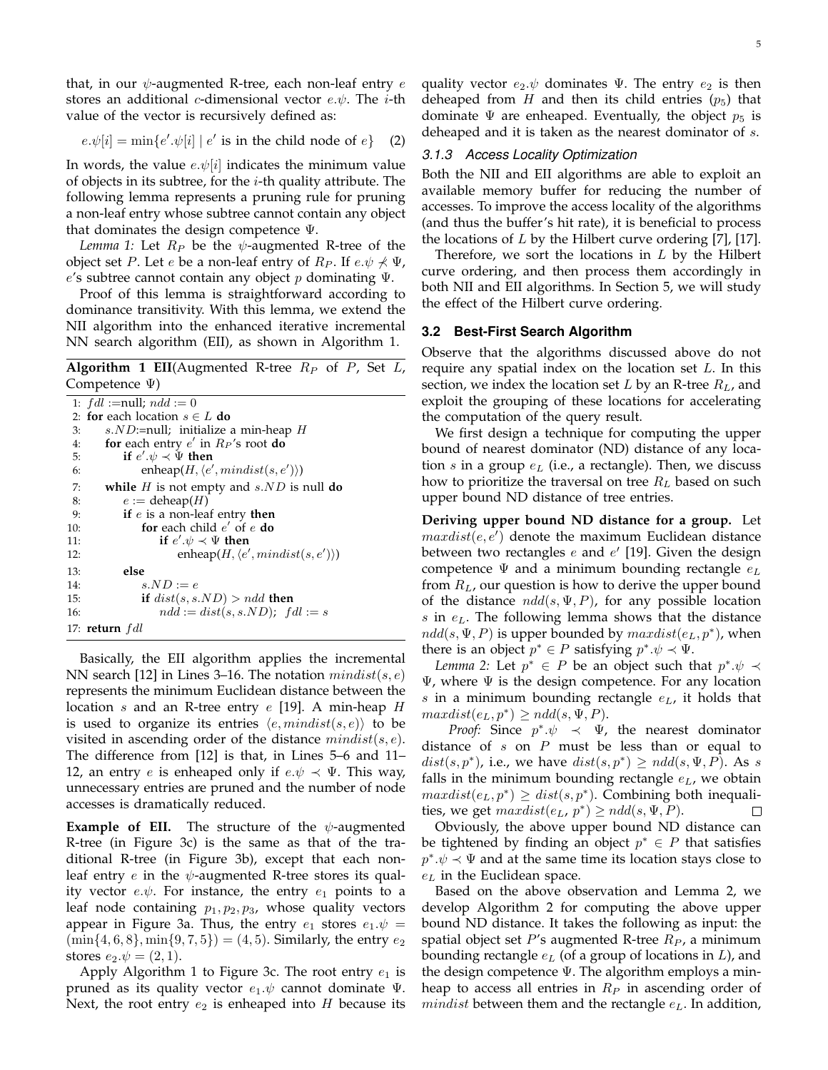that, in our  $\psi$ -augmented R-tree, each non-leaf entry e stores an additional c-dimensional vector  $e.\psi$ . The *i*-th value of the vector is recursively defined as:

$$
e.\psi[i] = \min\{e'.\psi[i] \mid e' \text{ is in the child node of } e\} \quad (2)
$$

In words, the value  $e.\psi[i]$  indicates the minimum value of objects in its subtree, for the  $i$ -th quality attribute. The following lemma represents a pruning rule for pruning a non-leaf entry whose subtree cannot contain any object that dominates the design competence Ψ.

*Lemma 1:* Let  $R_P$  be the  $\psi$ -augmented R-tree of the object set *P*. Let *e* be a non-leaf entry of  $R_P$ . If  $e \psi \nless \Psi$ , e's subtree cannot contain any object  $p$  dominating  $\Psi$ .

Proof of this lemma is straightforward according to dominance transitivity. With this lemma, we extend the NII algorithm into the enhanced iterative incremental NN search algorithm (EII), as shown in Algorithm 1.

**Algorithm 1 EII**(Augmented R-tree  $R_P$  of P, Set L, Competence Ψ)

|                 | 1: $fdl := \text{null}; \, ndd := 0$                    |
|-----------------|---------------------------------------------------------|
|                 | 2: for each location $s \in L$ do                       |
| $\mathcal{E}$ : | s. $ND$ :=null; initialize a min-heap H                 |
| 4:              | for each entry $e'$ in $R_P$ 's root do                 |
| 5:              | if $e' \psi \prec \Psi$ then                            |
| 6:              | enheap $(H, \langle e', \text{mindist}(s, e') \rangle)$ |
| 7:              | while $H$ is not empty and $s.ND$ is null do            |
| 8:              | $e :=$ deheap(H)                                        |
| 9:              | if $e$ is a non-leaf entry then                         |
| 10:             | for each child $e'$ of $e$ do                           |
| 11:             | if $e' \psi \prec \Psi$ then                            |
| 12:             | enheap $(H, \langle e', mindist(s, e') \rangle)$        |
| 13:             | else                                                    |
| 14:             | $s.ND := e$                                             |
| 15:             | if $dist(s, s. ND) > ndd$ then                          |
| 16:             | $ndd := dist(s, s.ND); \text{ } fdl := s$               |
|                 | 17: return $fdl$                                        |

Basically, the EII algorithm applies the incremental NN search [12] in Lines 3–16. The notation  $mindist(s, e)$ represents the minimum Euclidean distance between the location s and an R-tree entry  $e$  [19]. A min-heap H is used to organize its entries  $\langle e, mindist(s, e) \rangle$  to be visited in ascending order of the distance  $mindist(s, e)$ . The difference from [12] is that, in Lines 5–6 and 11– 12, an entry *e* is enheaped only if  $e.\psi \prec \Psi$ . This way, unnecessary entries are pruned and the number of node accesses is dramatically reduced.

**Example of EII.** The structure of the  $\psi$ -augmented R-tree (in Figure 3c) is the same as that of the traditional R-tree (in Figure 3b), except that each nonleaf entry  $e$  in the  $\psi$ -augmented R-tree stores its quality vector  $e.\psi$ . For instance, the entry  $e_1$  points to a leaf node containing  $p_1, p_2, p_3$ , whose quality vectors appear in Figure 3a. Thus, the entry  $e_1$  stores  $e_1 \psi =$  $(\min\{4, 6, 8\}, \min\{9, 7, 5\}) = (4, 5)$ . Similarly, the entry  $e_2$ stores  $e_2 \psi = (2, 1)$ .

Apply Algorithm 1 to Figure 3c. The root entry  $e_1$  is pruned as its quality vector  $e_1 \psi$  cannot dominate  $\Psi$ . Next, the root entry  $e_2$  is enheaped into H because its quality vector  $e_2 \psi$  dominates Ψ. The entry  $e_2$  is then deheaped from H and then its child entries  $(p_5)$  that dominate  $\Psi$  are enheaped. Eventually, the object  $p_5$  is deheaped and it is taken as the nearest dominator of s.

#### *3.1.3 Access Locality Optimization*

Both the NII and EII algorithms are able to exploit an available memory buffer for reducing the number of accesses. To improve the access locality of the algorithms (and thus the buffer's hit rate), it is beneficial to process the locations of  $L$  by the Hilbert curve ordering [7], [17].

Therefore, we sort the locations in  $L$  by the Hilbert curve ordering, and then process them accordingly in both NII and EII algorithms. In Section 5, we will study the effect of the Hilbert curve ordering.

## **3.2 Best-First Search Algorithm**

Observe that the algorithms discussed above do not require any spatial index on the location set  $L$ . In this section, we index the location set  $L$  by an R-tree  $R_L$ , and exploit the grouping of these locations for accelerating the computation of the query result.

We first design a technique for computing the upper bound of nearest dominator (ND) distance of any location s in a group  $e_L$  (i.e., a rectangle). Then, we discuss how to prioritize the traversal on tree  $R_L$  based on such upper bound ND distance of tree entries.

**Deriving upper bound ND distance for a group.** Let  $maxdist(e, e')$  denote the maximum Euclidean distance between two rectangles  $e$  and  $e'$  [19]. Given the design competence  $\Psi$  and a minimum bounding rectangle  $e_L$ from  $R_L$ , our question is how to derive the upper bound of the distance  $n d d(s, \Psi, P)$ , for any possible location s in  $e<sub>L</sub>$ . The following lemma shows that the distance  $n d d(s, \Psi, P)$  is upper bounded by  $maxdist(e_L, p^*)$ , when there is an object  $p^* \in P$  satisfying  $p^* \cdot \psi \prec \Psi$ .

*Lemma* 2: Let  $p^* \in P$  be an object such that  $p^* \psi \prec$  $\Psi$ , where  $\Psi$  is the design competence. For any location s in a minimum bounding rectangle  $e<sub>L</sub>$ , it holds that  $maxdist(e_L, p^*) \geq ndd(s, \Psi, P).$ 

*Proof:* Since  $p^* \cdot \psi \prec \Psi$ , the nearest dominator distance of  $s$  on  $P$  must be less than or equal to  $dist(s, p^*)$ , i.e., we have  $dist(s, p^*) \geq ndd(s, \Psi, P)$ . As s falls in the minimum bounding rectangle  $e<sub>L</sub>$ , we obtain  $maxdist(e_L, p^*) \geq dist(s, p^*)$ . Combining both inequalities, we get  $maxdist(e_L, p^*) \geq ndd(s, \Psi, P)$ . П

Obviously, the above upper bound ND distance can be tightened by finding an object  $p^* \in P$  that satisfies  $p^*.\psi \prec \Psi$  and at the same time its location stays close to  $e<sub>L</sub>$  in the Euclidean space.

Based on the above observation and Lemma 2, we develop Algorithm 2 for computing the above upper bound ND distance. It takes the following as input: the spatial object set P's augmented R-tree  $R_P$ , a minimum bounding rectangle  $e_L$  (of a group of locations in  $L$ ), and the design competence Ψ. The algorithm employs a minheap to access all entries in  $R_P$  in ascending order of mindist between them and the rectangle  $e<sub>L</sub>$ . In addition,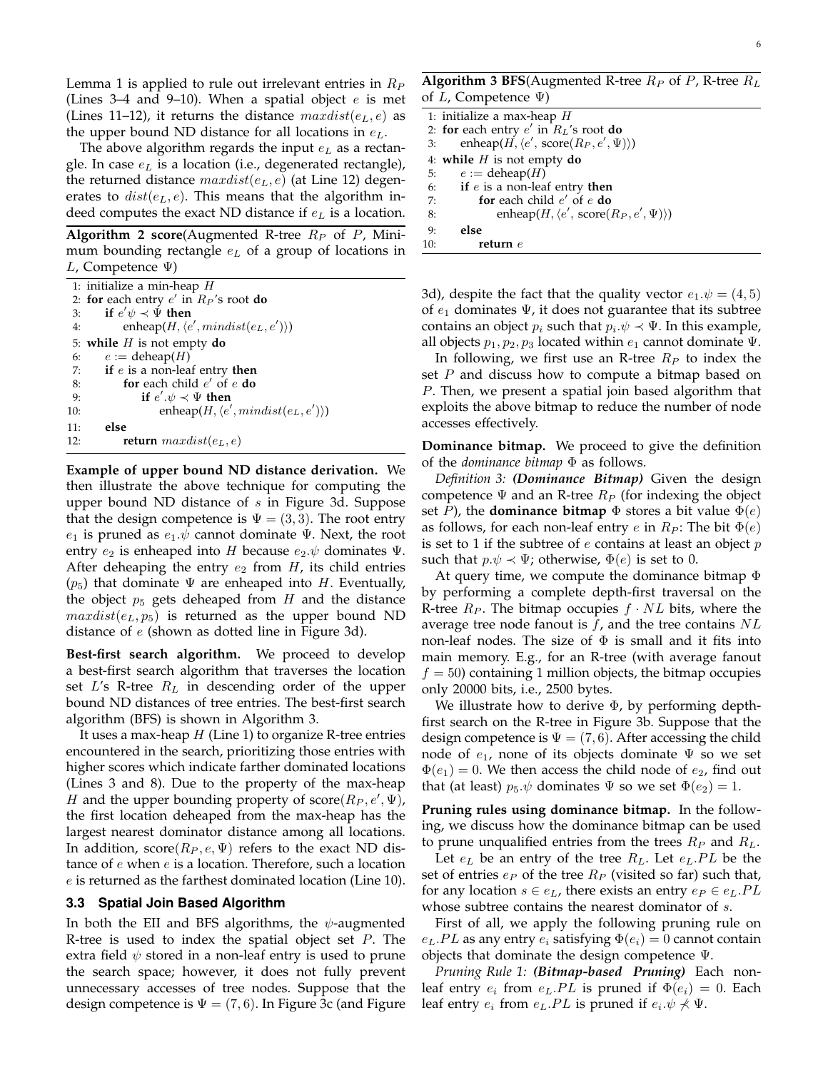Lemma 1 is applied to rule out irrelevant entries in  $R_P$ (Lines 3–4 and 9–10). When a spatial object  $e$  is met (Lines 11–12), it returns the distance  $maxdist(e<sub>L</sub>, e)$  as the upper bound ND distance for all locations in  $e<sub>L</sub>$ .

The above algorithm regards the input  $e<sub>L</sub>$  as a rectangle. In case  $e<sub>L</sub>$  is a location (i.e., degenerated rectangle), the returned distance  $maxdist(e<sub>L</sub>, e)$  (at Line 12) degenerates to  $dist(e<sub>L</sub>, e)$ . This means that the algorithm indeed computes the exact ND distance if  $e<sub>L</sub>$  is a location.

**Algorithm 2 score**(Augmented R-tree  $R_P$  of  $P$ , Minimum bounding rectangle  $e<sub>L</sub>$  of a group of locations in L, Competence  $\Psi$ )

|     | 1: initialize a min-heap $H$                               |
|-----|------------------------------------------------------------|
|     | 2: for each entry $e'$ in $R_P$ 's root do                 |
| 3:  | if $e'\psi \prec \Psi$ then                                |
| 4:  | enheap( $H, \langle e', \text{mindist}(e_L, e') \rangle$ ) |
|     | 5: while $H$ is not empty do                               |
| 6:  | $e := \text{deheap}(H)$                                    |
| 7:  | if $e$ is a non-leaf entry then                            |
| 8:  | for each child $e'$ of $e$ do                              |
| 9:  | if $e' \cdot \psi \prec \Psi$ then                         |
| 10: | enheap(H, $\langle e', \text{mindist}(e_L, e') \rangle$ )  |
| 11: | else                                                       |
| 12: | <b>return</b> $maxdist(e_L, e)$                            |
|     |                                                            |

**Example of upper bound ND distance derivation.** We then illustrate the above technique for computing the upper bound ND distance of  $s$  in Figure 3d. Suppose that the design competence is  $\Psi = (3, 3)$ . The root entry  $e_1$  is pruned as  $e_1 \psi$  cannot dominate  $\Psi$ . Next, the root entry  $e_2$  is enheaped into H because  $e_2 \psi$  dominates  $\Psi$ . After deheaping the entry  $e_2$  from  $H$ , its child entries  $(p_5)$  that dominate  $\Psi$  are enheaped into H. Eventually, the object  $p_5$  gets deheaped from  $H$  and the distance  $maxdist(e_L, p_5)$  is returned as the upper bound ND distance of e (shown as dotted line in Figure 3d).

**Best-first search algorithm.** We proceed to develop a best-first search algorithm that traverses the location set L's R-tree  $R_L$  in descending order of the upper bound ND distances of tree entries. The best-first search algorithm (BFS) is shown in Algorithm 3.

It uses a max-heap  $H$  (Line 1) to organize R-tree entries encountered in the search, prioritizing those entries with higher scores which indicate farther dominated locations (Lines 3 and 8). Due to the property of the max-heap H and the upper bounding property of score  $(R_P, e', \Psi)$ , the first location deheaped from the max-heap has the largest nearest dominator distance among all locations. In addition, score( $R_P, e, \Psi$ ) refers to the exact ND distance of e when e is a location. Therefore, such a location e is returned as the farthest dominated location (Line 10).

## **3.3 Spatial Join Based Algorithm**

In both the EII and BFS algorithms, the  $\psi$ -augmented R-tree is used to index the spatial object set  $P$ . The extra field  $\psi$  stored in a non-leaf entry is used to prune the search space; however, it does not fully prevent unnecessary accesses of tree nodes. Suppose that the design competence is  $\Psi = (7, 6)$ . In Figure 3c (and Figure

|     | 1: initialize a max-heap $H$                                   |
|-----|----------------------------------------------------------------|
|     | 2: for each entry $e'$ in $R_L$ 's root do                     |
| 3:  | enheap( $H, \langle e', \text{score}(R_P, e', \Psi) \rangle$ ) |
|     | 4: while $H$ is not empty do                                   |
|     | 5: $e := \text{deheap}(H)$                                     |
|     | 6: if $e$ is a non-leaf entry then                             |
| 7:  | for each child $e'$ of $e$ do                                  |
| 8:  | enheap $(H, \langle e', \text{score}(R_P, e', \Psi) \rangle)$  |
| 9:  | else                                                           |
| 10: | return $e$                                                     |

3d), despite the fact that the quality vector  $e_1 \psi = (4, 5)$ of  $e_1$  dominates  $\Psi$ , it does not guarantee that its subtree contains an object  $p_i$  such that  $p_i \cdot \psi \prec \Psi$ . In this example, all objects  $p_1, p_2, p_3$  located within  $e_1$  cannot dominate  $\Psi$ .

In following, we first use an R-tree  $R_P$  to index the set  $P$  and discuss how to compute a bitmap based on P. Then, we present a spatial join based algorithm that exploits the above bitmap to reduce the number of node accesses effectively.

**Dominance bitmap.** We proceed to give the definition of the *dominance bitmap* Φ as follows.

*Definition 3: (Dominance Bitmap)* Given the design competence  $\Psi$  and an R-tree  $R_P$  (for indexing the object set P), the **dominance bitmap**  $\Phi$  stores a bit value  $\Phi(e)$ as follows, for each non-leaf entry e in  $R_P$ : The bit  $\Phi(e)$ is set to 1 if the subtree of  $e$  contains at least an object  $p$ such that  $p.\psi \prec \Psi$ ; otherwise,  $\Phi(e)$  is set to 0.

At query time, we compute the dominance bitmap  $\Phi$ by performing a complete depth-first traversal on the R-tree  $R_P$ . The bitmap occupies  $f \cdot NL$  bits, where the average tree node fanout is  $f$ , and the tree contains  $NL$ non-leaf nodes. The size of  $\Phi$  is small and it fits into main memory. E.g., for an R-tree (with average fanout  $f = 50$ ) containing 1 million objects, the bitmap occupies only 20000 bits, i.e., 2500 bytes.

We illustrate how to derive Φ, by performing depthfirst search on the R-tree in Figure 3b. Suppose that the design competence is  $\Psi = (7,6)$ . After accessing the child node of  $e_1$ , none of its objects dominate  $\Psi$  so we set  $\Phi(e_1) = 0$ . We then access the child node of  $e_2$ , find out that (at least)  $p_5 \psi$  dominates  $\Psi$  so we set  $\Phi(e_2) = 1$ .

**Pruning rules using dominance bitmap.** In the following, we discuss how the dominance bitmap can be used to prune unqualified entries from the trees  $R_P$  and  $R_L$ .

Let  $e_L$  be an entry of the tree  $R_L$ . Let  $e_L$ . PL be the set of entries  $e_P$  of the tree  $R_P$  (visited so far) such that, for any location  $s \in e_L$ , there exists an entry  $e_P \in e_L.PL$ whose subtree contains the nearest dominator of s.

First of all, we apply the following pruning rule on  $e<sub>L</sub>$ .PL as any entry  $e<sub>i</sub>$  satisfying  $\Phi(e<sub>i</sub>) = 0$  cannot contain objects that dominate the design competence Ψ.

*Pruning Rule 1: (Bitmap-based Pruning)* Each nonleaf entry  $e_i$  from  $e_L.PL$  is pruned if  $\Phi(e_i) = 0$ . Each leaf entry  $e_i$  from  $e_L.PL$  is pruned if  $e_i.\psi \nless \Psi$ .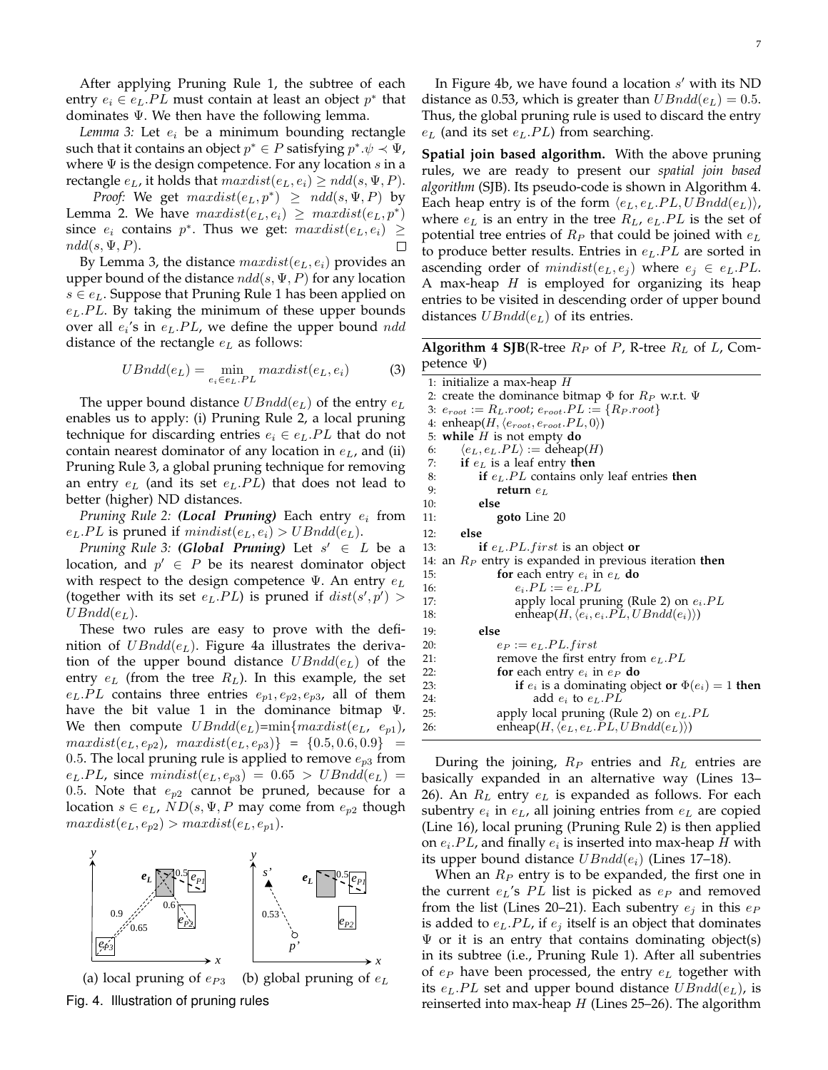After applying Pruning Rule 1, the subtree of each entry  $e_i \in e_L.PL$  must contain at least an object  $p^*$  that dominates Ψ. We then have the following lemma.

*Lemma 3:* Let  $e_i$  be a minimum bounding rectangle such that it contains an object  $p^* \in P$  satisfying  $p^*.\psi \prec \Psi$ , where  $\Psi$  is the design competence. For any location s in a rectangle  $e_L$ , it holds that  $maxdist(e_L, e_i) \geq ndd(s, \Psi, P)$ .

*Proof:* We get  $maxdist(e_L, p^*) \geq ndd(s, \Psi, P)$  by Lemma 2. We have  $maxdist(e_L, e_i) \geq maxdist(e_L, p^*)$ since  $e_i$  contains  $p^*$ . Thus we get:  $maxdist(e_L, e_i) \ge$  $ndd(s, \Psi, P).$  $\Box$ 

By Lemma 3, the distance  $maxdist(e<sub>L</sub>, e<sub>i</sub>)$  provides an upper bound of the distance  $n d d(s, \Psi, P)$  for any location  $s \in e_L$ . Suppose that Pruning Rule 1 has been applied on  $e<sub>L</sub>$ . PL. By taking the minimum of these upper bounds over all  $e_i$ 's in  $e_L$ .  $PL$ , we define the upper bound  $n d d$ distance of the rectangle  $e<sub>L</sub>$  as follows:

$$
UBndd(e_L) = \min_{e_i \in e_L, PL} maxdist(e_L, e_i)
$$
 (3)

The upper bound distance  $UBndd(e<sub>L</sub>)$  of the entry  $e<sub>L</sub>$ enables us to apply: (i) Pruning Rule 2, a local pruning technique for discarding entries  $e_i \in e_L.PL$  that do not contain nearest dominator of any location in  $e<sub>L</sub>$ , and (ii) Pruning Rule 3, a global pruning technique for removing an entry  $e_L$  (and its set  $e_L$ . PL) that does not lead to better (higher) ND distances.

*Pruning Rule 2: (Local Pruning)* Each entry  $e_i$  from  $e_L.PL$  is pruned if  $mindist(e_L, e_i) > UBndd(e_L)$ .

*Pruning Rule 3: (Global Pruning)* Let s <sup>0</sup> ∈ L be a location, and  $p' \in P$  be its nearest dominator object with respect to the design competence  $\Psi$ . An entry  $e_L$ (together with its set  $e_L$ . PL) is pruned if  $dist(s', p') >$  $UBndd(e<sub>L</sub>)$ .

These two rules are easy to prove with the definition of  $UBndd(e<sub>L</sub>)$ . Figure 4a illustrates the derivation of the upper bound distance  $UBndd(e<sub>L</sub>)$  of the entry  $e_L$  (from the tree  $R_L$ ). In this example, the set  $e_L.PL$  contains three entries  $e_{p1}, e_{p2}, e_{p3}$ , all of them have the bit value 1 in the dominance bitmap  $\Psi$ . We then compute  $UBndd(e_L)=min\{maxdist(e_L, e_{p1}),\}$  $maxdist(e_L, e_{p2})$ ,  $maxdist(e_L, e_{p3})$ } = {0.5, 0.6, 0.9} = 0.5. The local pruning rule is applied to remove  $e_{p3}$  from  $e_L.PL$ , since  $mindist(e_L, e_{p3}) = 0.65 > UBndd(e_L) =$ 0.5. Note that  $e_{p2}$  cannot be pruned, because for a location  $s \in e_L$ ,  $ND(s, \Psi, P$  may come from  $e_{p2}$  though  $maxdist(e_L, e_{p2}) > maxdist(e_L, e_{p1}).$ 



(a) local pruning of  $e_{P3}$  (b) global pruning of  $e_L$ Fig. 4. Illustration of pruning rules

In Figure 4b, we have found a location  $s'$  with its ND distance as 0.53, which is greater than  $UBndd(e_L) = 0.5$ . Thus, the global pruning rule is used to discard the entry  $e_L$  (and its set  $e_L$ .  $PL$ ) from searching.

**Spatial join based algorithm.** With the above pruning rules, we are ready to present our *spatial join based algorithm* (SJB). Its pseudo-code is shown in Algorithm 4. Each heap entry is of the form  $\langle e_L, e_L, PL, UBndd(e_L) \rangle$ , where  $e_L$  is an entry in the tree  $R_L$ ,  $e_L$ .  $PL$  is the set of potential tree entries of  $R_P$  that could be joined with  $e_L$ to produce better results. Entries in  $e<sub>L</sub>$ . PL are sorted in ascending order of  $mindist(e_L, e_i)$  where  $e_i \in e_L.PL$ . A max-heap  $H$  is employed for organizing its heap entries to be visited in descending order of upper bound distances  $UBndd(e<sub>L</sub>)$  of its entries.

**Algorithm 4 SJB**(R-tree  $R_P$  of P, R-tree  $R_L$  of L, Competence Ψ)

|     | 1: initialize a max-heap $H$                                  |
|-----|---------------------------------------------------------------|
|     | 2: create the dominance bitmap $\Phi$ for $R_P$ w.r.t. $\Psi$ |
|     | 3: $e_{root} := R_L root$ ; $e_{root}.PL := \{R_P root\}$     |
|     | 4: enheap $(H, \langle e_{root}, e_{root}, PL, 0 \rangle)$    |
|     | 5: while $H$ is not empty do                                  |
| 6:  | $\langle e_L, e_L.PL \rangle := \text{deheap}(H)$             |
| 7:  | if $e_L$ is a leaf entry then                                 |
| 8:  | if $e_L.PL$ contains only leaf entries then                   |
| 9:  | return $e_L$                                                  |
| 10: | else                                                          |
| 11: | goto Line 20                                                  |
| 12: | else                                                          |
| 13: | if $e_L.PL.first$ is an object or                             |
|     | 14: an $R_P$ entry is expanded in previous iteration then     |
| 15: | for each entry $e_i$ in $e_L$ do                              |
| 16: | $e_i.PL := e_L.PL$                                            |
| 17: | apply local pruning (Rule 2) on $e_i$ . PL                    |
| 18: | enheap $(H, \langle e_i, e_i. PL, UBndd(e_i) \rangle)$        |
| 19: | else                                                          |
| 20: | $e_P := e_L.PL \text{.} first$                                |
| 21: | remove the first entry from $e_L.PL$                          |
| 22: | for each entry $e_i$ in $e_P$ do                              |
| 23: | if $e_i$ is a dominating object or $\Phi(e_i) = 1$ then       |
| 24: | add $e_i$ to $e_L.PL$                                         |
| 25: | apply local pruning (Rule 2) on $e_L$ . PL                    |
| 26: | enheap $(H, \langle e_L, e_L, PL, UBndd(e_L) \rangle)$        |
|     |                                                               |
|     |                                                               |

During the joining,  $R_P$  entries and  $R_L$  entries are basically expanded in an alternative way (Lines 13– 26). An  $R_L$  entry  $e_L$  is expanded as follows. For each subentry  $e_i$  in  $e_L$ , all joining entries from  $e_L$  are copied (Line 16), local pruning (Pruning Rule 2) is then applied on  $e_i$ . PL, and finally  $e_i$  is inserted into max-heap H with its upper bound distance  $UBndd(e_i)$  (Lines 17–18).

When an  $R_P$  entry is to be expanded, the first one in the current  $e<sub>L</sub>$ 's PL list is picked as  $e<sub>P</sub>$  and removed from the list (Lines 20–21). Each subentry  $e_i$  in this  $e_P$ is added to  $e_L.PL$ , if  $e_j$  itself is an object that dominates  $\Psi$  or it is an entry that contains dominating object(s) in its subtree (i.e., Pruning Rule 1). After all subentries of  $e_P$  have been processed, the entry  $e_L$  together with its  $e_L$ . PL set and upper bound distance  $UBndd(e_L)$ , is reinserted into max-heap  $H$  (Lines 25–26). The algorithm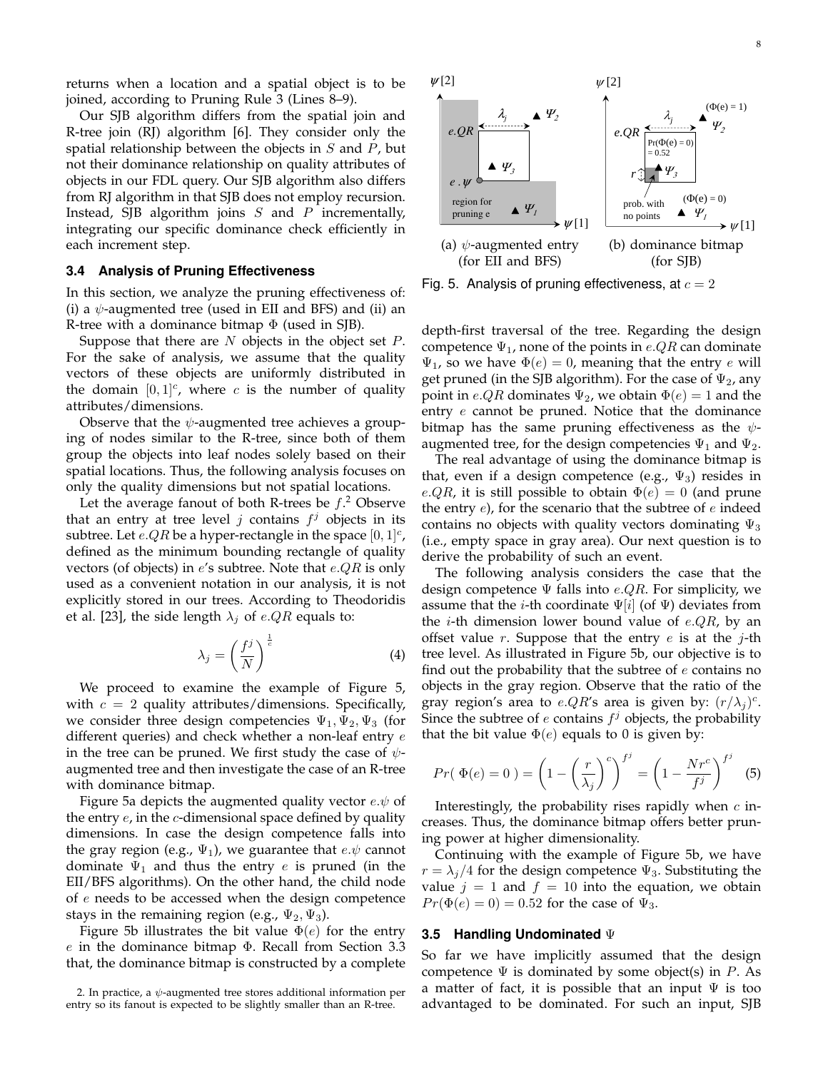returns when a location and a spatial object is to be joined, according to Pruning Rule 3 (Lines 8–9).

Our SJB algorithm differs from the spatial join and R-tree join (RJ) algorithm [6]. They consider only the spatial relationship between the objects in  $S$  and  $P$ , but not their dominance relationship on quality attributes of objects in our FDL query. Our SJB algorithm also differs from RJ algorithm in that SJB does not employ recursion. Instead, SJB algorithm joins  $S$  and  $P$  incrementally, integrating our specific dominance check efficiently in each increment step.

## **3.4 Analysis of Pruning Effectiveness**

In this section, we analyze the pruning effectiveness of: (i) a  $\psi$ -augmented tree (used in EII and BFS) and (ii) an R-tree with a dominance bitmap  $\Phi$  (used in SJB).

Suppose that there are  $N$  objects in the object set  $P$ . For the sake of analysis, we assume that the quality vectors of these objects are uniformly distributed in the domain  $[0,1]^{c}$ , where c is the number of quality attributes/dimensions.

Observe that the  $\psi$ -augmented tree achieves a grouping of nodes similar to the R-tree, since both of them group the objects into leaf nodes solely based on their spatial locations. Thus, the following analysis focuses on only the quality dimensions but not spatial locations.

Let the average fanout of both R-trees be  $f$ .<sup>2</sup> Observe that an entry at tree level  $j$  contains  $f^j$  objects in its subtree. Let  $e.QR$  be a hyper-rectangle in the space  $[0,1]^{c}$ , defined as the minimum bounding rectangle of quality vectors (of objects) in  $e'$ s subtree. Note that  $e.QR$  is only used as a convenient notation in our analysis, it is not explicitly stored in our trees. According to Theodoridis et al. [23], the side length  $\lambda_j$  of e.QR equals to:

$$
\lambda_j = \left(\frac{f^j}{N}\right)^{\frac{1}{c}} \tag{4}
$$

We proceed to examine the example of Figure 5, with  $c = 2$  quality attributes/dimensions. Specifically, we consider three design competencies  $\Psi_1, \Psi_2, \Psi_3$  (for different queries) and check whether a non-leaf entry  $e$ in the tree can be pruned. We first study the case of  $\psi$ augmented tree and then investigate the case of an R-tree with dominance bitmap.

Figure 5a depicts the augmented quality vector  $e \psi$  of the entry  $e$ , in the  $c$ -dimensional space defined by quality dimensions. In case the design competence falls into the gray region (e.g.,  $\Psi_1$ ), we guarantee that  $e.\psi$  cannot dominate  $\Psi_1$  and thus the entry e is pruned (in the EII/BFS algorithms). On the other hand, the child node of  $e$  needs to be accessed when the design competence stays in the remaining region (e.g.,  $\Psi_2$ ,  $\Psi_3$ ).

Figure 5b illustrates the bit value  $\Phi(e)$  for the entry e in the dominance bitmap  $\Phi$ . Recall from Section 3.3 that, the dominance bitmap is constructed by a complete



Fig. 5. Analysis of pruning effectiveness, at  $c = 2$ 

depth-first traversal of the tree. Regarding the design competence  $\Psi_1$ , none of the points in e.QR can dominate  $\Psi_1$ , so we have  $\Phi(e) = 0$ , meaning that the entry e will get pruned (in the SJB algorithm). For the case of  $\Psi_2$ , any point in *e.QR* dominates  $\Psi_2$ , we obtain  $\Phi(e) = 1$  and the entry e cannot be pruned. Notice that the dominance bitmap has the same pruning effectiveness as the  $\psi$ augmented tree, for the design competencies  $\Psi_1$  and  $\Psi_2$ .

The real advantage of using the dominance bitmap is that, even if a design competence (e.g.,  $\Psi_3$ ) resides in e.QR, it is still possible to obtain  $\Phi(e) = 0$  (and prune the entry  $e$ ), for the scenario that the subtree of  $e$  indeed contains no objects with quality vectors dominating  $\Psi_3$ (i.e., empty space in gray area). Our next question is to derive the probability of such an event.

The following analysis considers the case that the design competence  $\Psi$  falls into e.QR. For simplicity, we assume that the *i*-th coordinate  $\Psi[i]$  (of  $\Psi$ ) deviates from the *i*-th dimension lower bound value of  $e.QR$ , by an offset value r. Suppose that the entry  $e$  is at the j-th tree level. As illustrated in Figure 5b, our objective is to find out the probability that the subtree of  $e$  contains no objects in the gray region. Observe that the ratio of the gray region's area to *e.QR*'s area is given by:  $(r/\lambda_j)^c$ . Since the subtree of  $e$  contains  $f^j$  objects, the probability that the bit value  $\Phi(e)$  equals to 0 is given by:

$$
Pr(\Phi(e) = 0) = \left(1 - \left(\frac{r}{\lambda_j}\right)^c\right)^{f^j} = \left(1 - \frac{Nr^c}{f^j}\right)^{f^j} \tag{5}
$$

Interestingly, the probability rises rapidly when  $c$  increases. Thus, the dominance bitmap offers better pruning power at higher dimensionality.

Continuing with the example of Figure 5b, we have  $r = \lambda_i/4$  for the design competence  $\Psi_3$ . Substituting the value  $j = 1$  and  $f = 10$  into the equation, we obtain  $Pr(\Phi(e) = 0) = 0.52$  for the case of  $\Psi_3$ .

## **3.5 Handling Undominated** Ψ

So far we have implicitly assumed that the design competence  $\Psi$  is dominated by some object(s) in P. As a matter of fact, it is possible that an input  $\Psi$  is too advantaged to be dominated. For such an input, SJB

<sup>2.</sup> In practice, a  $\psi$ -augmented tree stores additional information per entry so its fanout is expected to be slightly smaller than an R-tree.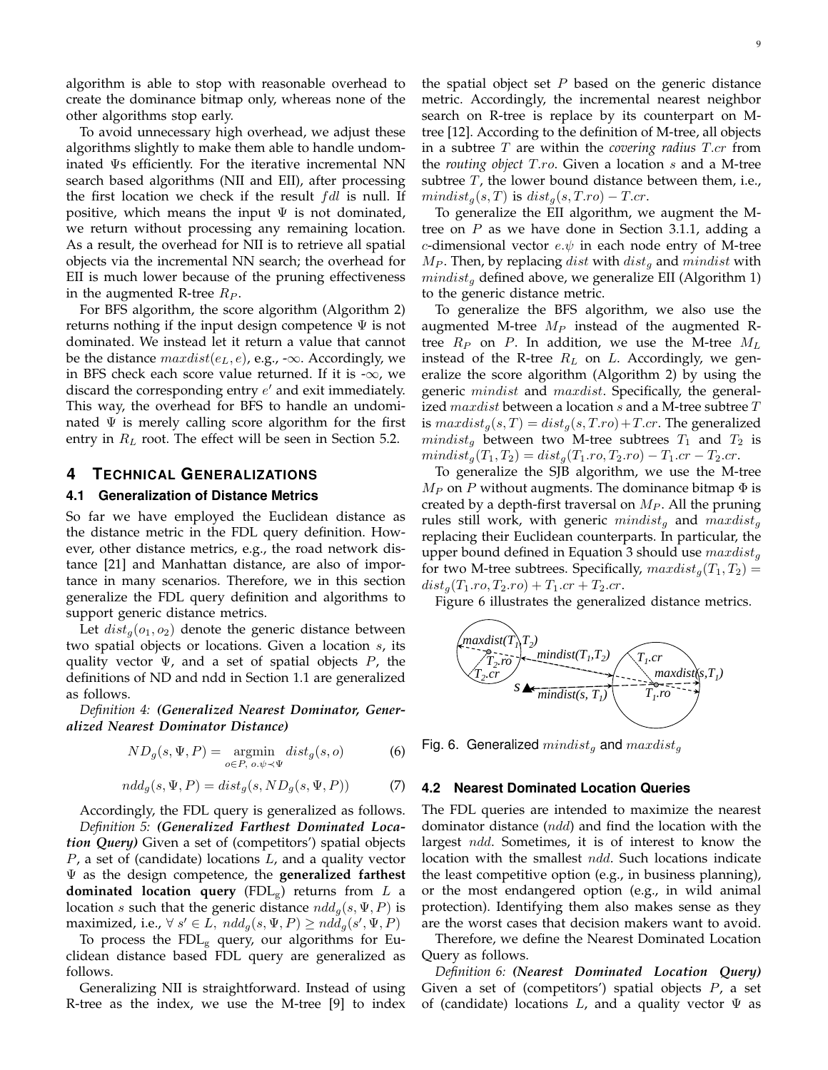algorithm is able to stop with reasonable overhead to create the dominance bitmap only, whereas none of the other algorithms stop early.

To avoid unnecessary high overhead, we adjust these algorithms slightly to make them able to handle undominated Ψs efficiently. For the iterative incremental NN search based algorithms (NII and EII), after processing the first location we check if the result  $fdl$  is null. If positive, which means the input  $\Psi$  is not dominated, we return without processing any remaining location. As a result, the overhead for NII is to retrieve all spatial objects via the incremental NN search; the overhead for EII is much lower because of the pruning effectiveness in the augmented R-tree  $R_P$ .

For BFS algorithm, the score algorithm (Algorithm 2) returns nothing if the input design competence  $\Psi$  is not dominated. We instead let it return a value that cannot be the distance  $maxdist(e_L, e)$ , e.g., - $\infty$ . Accordingly, we in BFS check each score value returned. If it is  $-\infty$ , we discard the corresponding entry  $e'$  and exit immediately. This way, the overhead for BFS to handle an undominated  $\Psi$  is merely calling score algorithm for the first entry in  $R_L$  root. The effect will be seen in Section 5.2.

## **4 TECHNICAL GENERALIZATIONS**

#### **4.1 Generalization of Distance Metrics**

So far we have employed the Euclidean distance as the distance metric in the FDL query definition. However, other distance metrics, e.g., the road network distance [21] and Manhattan distance, are also of importance in many scenarios. Therefore, we in this section generalize the FDL query definition and algorithms to support generic distance metrics.

Let  $dist_q(o_1, o_2)$  denote the generic distance between two spatial objects or locations. Given a location s, its quality vector  $\Psi$ , and a set of spatial objects  $P$ , the definitions of ND and ndd in Section 1.1 are generalized as follows.

*Definition 4: (Generalized Nearest Dominator, Generalized Nearest Dominator Distance)*

$$
ND_g(s, \Psi, P) = \underset{o \in P, o, \psi \prec \Psi}{\text{argmin}} \; dist_g(s, o) \tag{6}
$$

$$
n d d_g(s, \Psi, P) = dist_g(s, ND_g(s, \Psi, P))
$$
\n(7)

Accordingly, the FDL query is generalized as follows. *Definition 5: (Generalized Farthest Dominated Location Query)* Given a set of (competitors') spatial objects  $P$ , a set of (candidate) locations  $L$ , and a quality vector Ψ as the design competence, the **generalized farthest dominated location query** (FDL<sub>g</sub>) returns from  $L$  a location s such that the generic distance  $n d d_q(s, \Psi, P)$  is maximized, i.e.,  $\forall s' \in L$ ,  $ndd_g(s, \Psi, P) \geq ndd_g(s', \Psi, P)$ 

To process the  $FDL<sub>g</sub>$  query, our algorithms for Euclidean distance based FDL query are generalized as follows.

Generalizing NII is straightforward. Instead of using R-tree as the index, we use the M-tree [9] to index the spatial object set  $P$  based on the generic distance metric. Accordingly, the incremental nearest neighbor search on R-tree is replace by its counterpart on Mtree [12]. According to the definition of M-tree, all objects in a subtree T are within the *covering radius* T.cr from the *routing object* T.ro. Given a location s and a M-tree subtree  $T$ , the lower bound distance between them, i.e.,  $mindist_q(s,T)$  is  $dist_q(s,T-ro) - T.cr$ .

To generalize the EII algorithm, we augment the Mtree on  $P$  as we have done in Section 3.1.1, adding a c-dimensional vector  $e.\psi$  in each node entry of M-tree  $M_P$ . Then, by replacing dist with  $dist_q$  and mindist with  $mindist_q$  defined above, we generalize EII (Algorithm 1) to the generic distance metric.

To generalize the BFS algorithm, we also use the augmented M-tree  $M_P$  instead of the augmented Rtree  $R_P$  on P. In addition, we use the M-tree  $M_L$ instead of the R-tree  $R_L$  on L. Accordingly, we generalize the score algorithm (Algorithm 2) by using the generic *mindist* and *maxdist*. Specifically, the generalized  $maxdist$  between a location  $s$  and a M-tree subtree  $T$ is  $maxdist_{g}(s,T) = dist_{g}(s,T,ro) + T.cr$ . The generalized  $mindist<sub>g</sub>$  between two M-tree subtrees  $T_1$  and  $T_2$  is  $mindist_q(T_1, T_2) = dist_q(T_1, ro, T_2, ro) - T_1. cr - T_2. cr.$ 

To generalize the SJB algorithm, we use the M-tree  $M_P$  on P without augments. The dominance bitmap  $\Phi$  is created by a depth-first traversal on  $M_P$ . All the pruning rules still work, with generic  $mindist<sub>g</sub>$  and  $mardist<sub>g</sub>$ replacing their Euclidean counterparts. In particular, the upper bound defined in Equation 3 should use  $maxdist_{g}$ for two M-tree subtrees. Specifically,  $maxdist_q(T_1, T_2)$  =  $dist_g(T_1.ro, T_2.ro) + T_1.cr + T_2.cr.$ 

Figure 6 illustrates the generalized distance metrics.



Fig. 6. Generalized  $mindist_q$  and  $maxdist_q$ 

#### **4.2 Nearest Dominated Location Queries**

The FDL queries are intended to maximize the nearest dominator distance  $(ndd)$  and find the location with the largest *ndd*. Sometimes, it is of interest to know the location with the smallest ndd. Such locations indicate the least competitive option (e.g., in business planning), or the most endangered option (e.g., in wild animal protection). Identifying them also makes sense as they are the worst cases that decision makers want to avoid.

Therefore, we define the Nearest Dominated Location Query as follows.

*Definition 6: (Nearest Dominated Location Query)* Given a set of (competitors') spatial objects  $P$ , a set of (candidate) locations  $L$ , and a quality vector  $\Psi$  as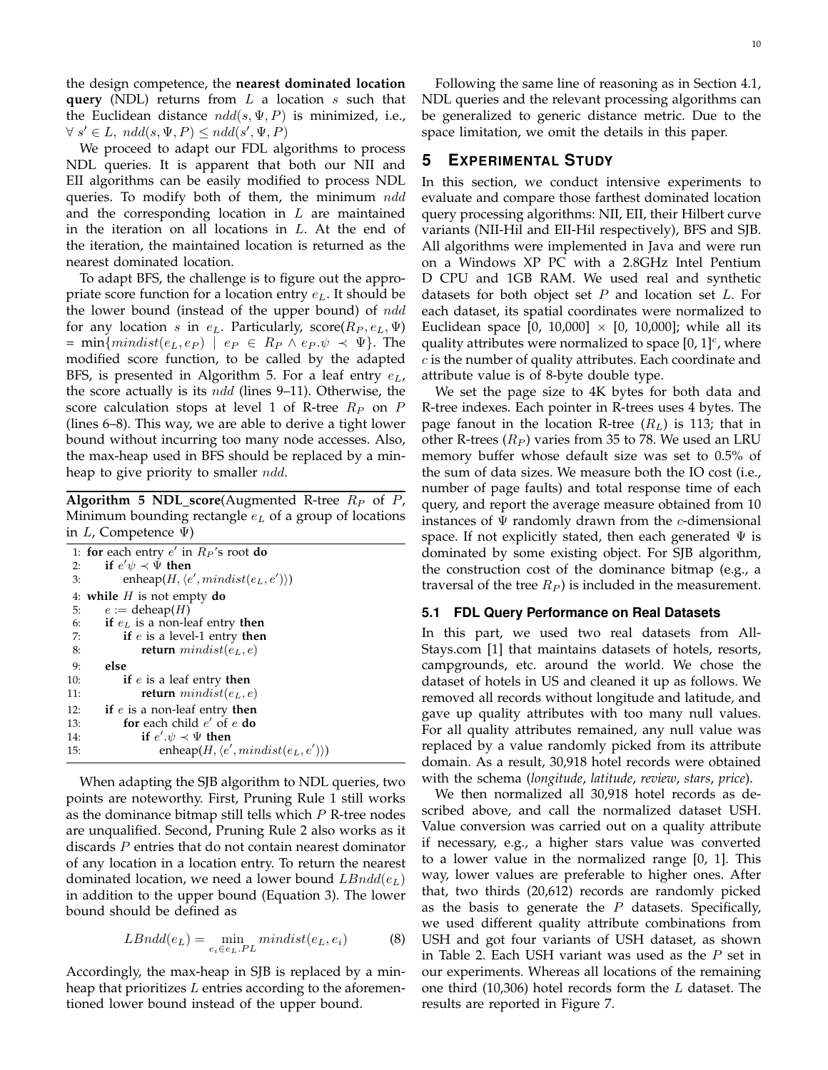the design competence, the **nearest dominated location query** (NDL) returns from L a location s such that the Euclidean distance  $n d d(s, \Psi, P)$  is minimized, i.e.,  $\forall s' \in L, \; ndd(s, \Psi, P) \leq ndd(s', \Psi, P)$ 

We proceed to adapt our FDL algorithms to process NDL queries. It is apparent that both our NII and EII algorithms can be easily modified to process NDL queries. To modify both of them, the minimum ndd and the corresponding location in  $L$  are maintained in the iteration on all locations in L. At the end of the iteration, the maintained location is returned as the nearest dominated location.

To adapt BFS, the challenge is to figure out the appropriate score function for a location entry  $e<sub>L</sub>$ . It should be the lower bound (instead of the upper bound) of ndd for any location s in  $e_L$ . Particularly, score( $R_P, e_L, \Psi$ )  $= \min\{mindist(e_L, e_P) \mid e_P \in R_P \land e_P.\psi \prec \Psi\}.$  The modified score function, to be called by the adapted BFS, is presented in Algorithm 5. For a leaf entry  $e<sub>L</sub>$ , the score actually is its  $n d d$  (lines 9–11). Otherwise, the score calculation stops at level 1 of R-tree  $R_P$  on P (lines 6–8). This way, we are able to derive a tight lower bound without incurring too many node accesses. Also, the max-heap used in BFS should be replaced by a minheap to give priority to smaller  $n d d$ .

**Algorithm 5 NDL\_score**(Augmented R-tree  $R_P$  of P, Minimum bounding rectangle  $e<sub>L</sub>$  of a group of locations in  $L$ , Competence  $\Psi$ )

|     | 1: for each entry $e'$ in $R_P$ 's root do                |
|-----|-----------------------------------------------------------|
| 2:  | if $e' \psi \prec \Psi$ then                              |
| 3:  | enheap $(H, \langle e', \text{mindist}(e_L, e') \rangle)$ |
|     | 4: while $H$ is not empty do                              |
| 5:  | $e := \text{deheap}(H)$                                   |
| 6:  | if $e_L$ is a non-leaf entry then                         |
| 7:  | if $e$ is a level-1 entry then                            |
| 8:  | <b>return</b> $mindist(e_L, e)$                           |
| 9:  | else                                                      |
| 10: | if $e$ is a leaf entry then                               |
| 11: | <b>return</b> $mindist(e_L, e)$                           |
| 12: | if $e$ is a non-leaf entry then                           |
| 13: | for each child $e'$ of $e$ do                             |
| 14: | if $e' \psi \prec \Psi$ then                              |
| 15: | enheap(H, $\langle e',mindist(e_L, e') \rangle$ )         |

When adapting the SJB algorithm to NDL queries, two points are noteworthy. First, Pruning Rule 1 still works as the dominance bitmap still tells which  $P$  R-tree nodes are unqualified. Second, Pruning Rule 2 also works as it discards P entries that do not contain nearest dominator of any location in a location entry. To return the nearest dominated location, we need a lower bound  $LBndd(e_L)$ in addition to the upper bound (Equation 3). The lower bound should be defined as

$$
LBndd(e_L) = \min_{e_i \in e_L.PL} mindist(e_L, e_i)
$$
 (8)

Accordingly, the max-heap in SJB is replaced by a minheap that prioritizes  $L$  entries according to the aforementioned lower bound instead of the upper bound.

Following the same line of reasoning as in Section 4.1, NDL queries and the relevant processing algorithms can be generalized to generic distance metric. Due to the space limitation, we omit the details in this paper.

## **5 EXPERIMENTAL STUDY**

In this section, we conduct intensive experiments to evaluate and compare those farthest dominated location query processing algorithms: NII, EII, their Hilbert curve variants (NII-Hil and EII-Hil respectively), BFS and SJB. All algorithms were implemented in Java and were run on a Windows XP PC with a 2.8GHz Intel Pentium D CPU and 1GB RAM. We used real and synthetic datasets for both object set  $P$  and location set  $L$ . For each dataset, its spatial coordinates were normalized to Euclidean space [0, 10,000]  $\times$  [0, 10,000]; while all its quality attributes were normalized to space  $[0, 1]^{c}$ , where c is the number of quality attributes. Each coordinate and attribute value is of 8-byte double type.

We set the page size to 4K bytes for both data and R-tree indexes. Each pointer in R-trees uses 4 bytes. The page fanout in the location R-tree  $(R_L)$  is 113; that in other R-trees  $(R_P)$  varies from 35 to 78. We used an LRU memory buffer whose default size was set to 0.5% of the sum of data sizes. We measure both the IO cost (i.e., number of page faults) and total response time of each query, and report the average measure obtained from 10 instances of  $\Psi$  randomly drawn from the c-dimensional space. If not explicitly stated, then each generated  $\Psi$  is dominated by some existing object. For SJB algorithm, the construction cost of the dominance bitmap (e.g., a traversal of the tree  $R_P$ ) is included in the measurement.

#### **5.1 FDL Query Performance on Real Datasets**

In this part, we used two real datasets from All-Stays.com [1] that maintains datasets of hotels, resorts, campgrounds, etc. around the world. We chose the dataset of hotels in US and cleaned it up as follows. We removed all records without longitude and latitude, and gave up quality attributes with too many null values. For all quality attributes remained, any null value was replaced by a value randomly picked from its attribute domain. As a result, 30,918 hotel records were obtained with the schema (*longitude*, *latitude*, *review*, *stars*, *price*).

We then normalized all 30,918 hotel records as described above, and call the normalized dataset USH. Value conversion was carried out on a quality attribute if necessary, e.g., a higher stars value was converted to a lower value in the normalized range [0, 1]. This way, lower values are preferable to higher ones. After that, two thirds (20,612) records are randomly picked as the basis to generate the  $P$  datasets. Specifically, we used different quality attribute combinations from USH and got four variants of USH dataset, as shown in Table 2. Each USH variant was used as the  $P$  set in our experiments. Whereas all locations of the remaining one third  $(10,306)$  hotel records form the  $L$  dataset. The results are reported in Figure 7.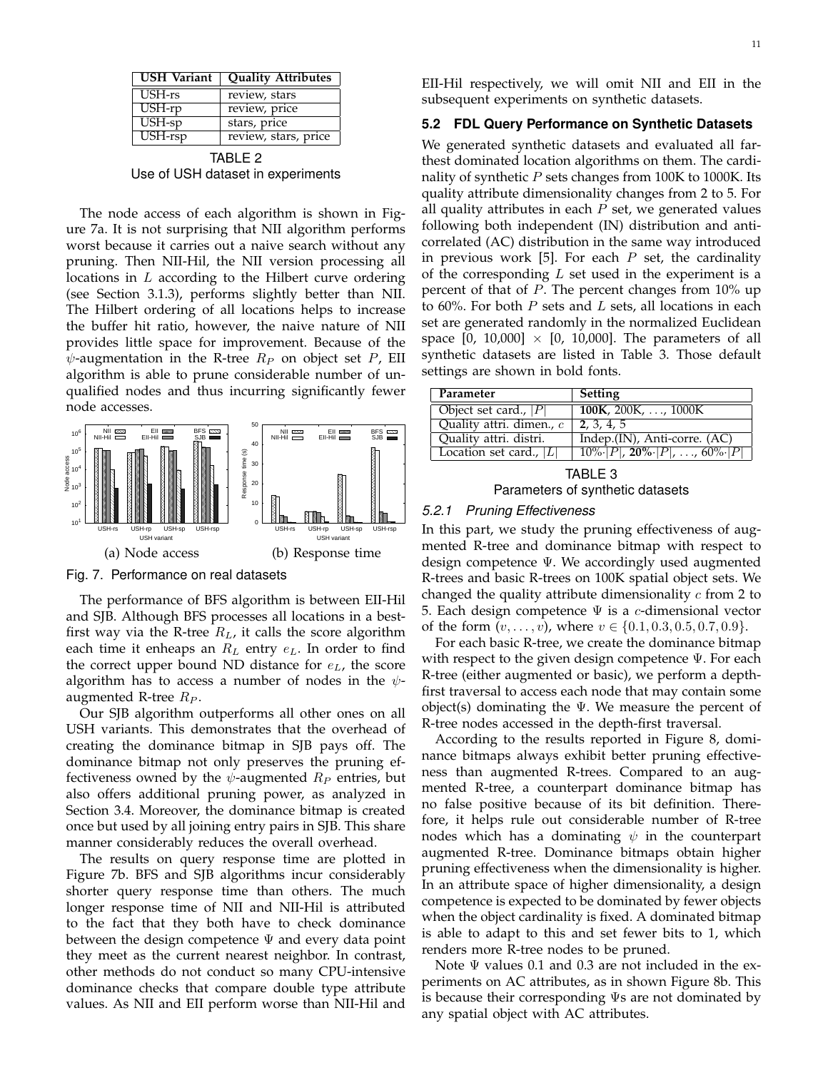| <b>USH Variant</b> | <b>Quality Attributes</b> |
|--------------------|---------------------------|
| USH-rs             | review, stars             |
| USH-rp             | review, price             |
| USH-sp             | stars, price              |
| USH-rsp            | review, stars, price      |

TABLE 2 Use of USH dataset in experiments

The node access of each algorithm is shown in Figure 7a. It is not surprising that NII algorithm performs worst because it carries out a naive search without any pruning. Then NII-Hil, the NII version processing all locations in L according to the Hilbert curve ordering (see Section 3.1.3), performs slightly better than NII. The Hilbert ordering of all locations helps to increase the buffer hit ratio, however, the naive nature of NII provides little space for improvement. Because of the  $\psi$ -augmentation in the R-tree  $R_P$  on object set P, EII algorithm is able to prune considerable number of unqualified nodes and thus incurring significantly fewer node accesses.



Fig. 7. Performance on real datasets

The performance of BFS algorithm is between EII-Hil and SJB. Although BFS processes all locations in a bestfirst way via the R-tree  $R_L$ , it calls the score algorithm each time it enheaps an  $R_L$  entry  $e_L$ . In order to find the correct upper bound ND distance for  $e<sub>L</sub>$ , the score algorithm has to access a number of nodes in the  $\psi$ augmented R-tree  $R_P$ .

Our SJB algorithm outperforms all other ones on all USH variants. This demonstrates that the overhead of creating the dominance bitmap in SJB pays off. The dominance bitmap not only preserves the pruning effectiveness owned by the  $\psi$ -augmented  $R_P$  entries, but also offers additional pruning power, as analyzed in Section 3.4. Moreover, the dominance bitmap is created once but used by all joining entry pairs in SJB. This share manner considerably reduces the overall overhead.

The results on query response time are plotted in Figure 7b. BFS and SJB algorithms incur considerably shorter query response time than others. The much longer response time of NII and NII-Hil is attributed to the fact that they both have to check dominance between the design competence  $\Psi$  and every data point they meet as the current nearest neighbor. In contrast, other methods do not conduct so many CPU-intensive dominance checks that compare double type attribute values. As NII and EII perform worse than NII-Hil and

EII-Hil respectively, we will omit NII and EII in the subsequent experiments on synthetic datasets.

## **5.2 FDL Query Performance on Synthetic Datasets**

We generated synthetic datasets and evaluated all farthest dominated location algorithms on them. The cardinality of synthetic  $P$  sets changes from 100K to 1000K. Its quality attribute dimensionality changes from 2 to 5. For all quality attributes in each  $P$  set, we generated values following both independent (IN) distribution and anticorrelated (AC) distribution in the same way introduced in previous work [5]. For each  $P$  set, the cardinality of the corresponding  $L$  set used in the experiment is a percent of that of P. The percent changes from 10% up to 60%. For both  $P$  sets and  $L$  sets, all locations in each set are generated randomly in the normalized Euclidean space  $[0, 10,000] \times [0, 10,000]$ . The parameters of all synthetic datasets are listed in Table 3. Those default settings are shown in bold fonts.

| Parameter                 | <b>Setting</b>                                                    |
|---------------------------|-------------------------------------------------------------------|
| Object set card., $ P $   | $\overline{100K}$ , 200 $\overline{K}$ , , 1000 $\overline{K}$    |
| Quality attri. dimen., c  | 2, 3, 4, 5                                                        |
| Quality attri. distri.    | Indep.(IN), Anti-corre. (AC)                                      |
| Location set card., $ L $ | $\overline{10\% \cdot  P }$ , 20% $\cdot  P $ , , 60% $\cdot  P $ |

TABLE 3 Parameters of synthetic datasets

## *5.2.1 Pruning Effectiveness*

In this part, we study the pruning effectiveness of augmented R-tree and dominance bitmap with respect to design competence Ψ. We accordingly used augmented R-trees and basic R-trees on 100K spatial object sets. We changed the quality attribute dimensionality  $c$  from 2 to 5. Each design competence  $\Psi$  is a c-dimensional vector of the form  $(v, \ldots, v)$ , where  $v \in \{0.1, 0.3, 0.5, 0.7, 0.9\}$ .

For each basic R-tree, we create the dominance bitmap with respect to the given design competence Ψ. For each R-tree (either augmented or basic), we perform a depthfirst traversal to access each node that may contain some object(s) dominating the  $\Psi$ . We measure the percent of R-tree nodes accessed in the depth-first traversal.

According to the results reported in Figure 8, dominance bitmaps always exhibit better pruning effectiveness than augmented R-trees. Compared to an augmented R-tree, a counterpart dominance bitmap has no false positive because of its bit definition. Therefore, it helps rule out considerable number of R-tree nodes which has a dominating  $\psi$  in the counterpart augmented R-tree. Dominance bitmaps obtain higher pruning effectiveness when the dimensionality is higher. In an attribute space of higher dimensionality, a design competence is expected to be dominated by fewer objects when the object cardinality is fixed. A dominated bitmap is able to adapt to this and set fewer bits to 1, which renders more R-tree nodes to be pruned.

Note  $\Psi$  values 0.1 and 0.3 are not included in the experiments on AC attributes, as in shown Figure 8b. This is because their corresponding Ψs are not dominated by any spatial object with AC attributes.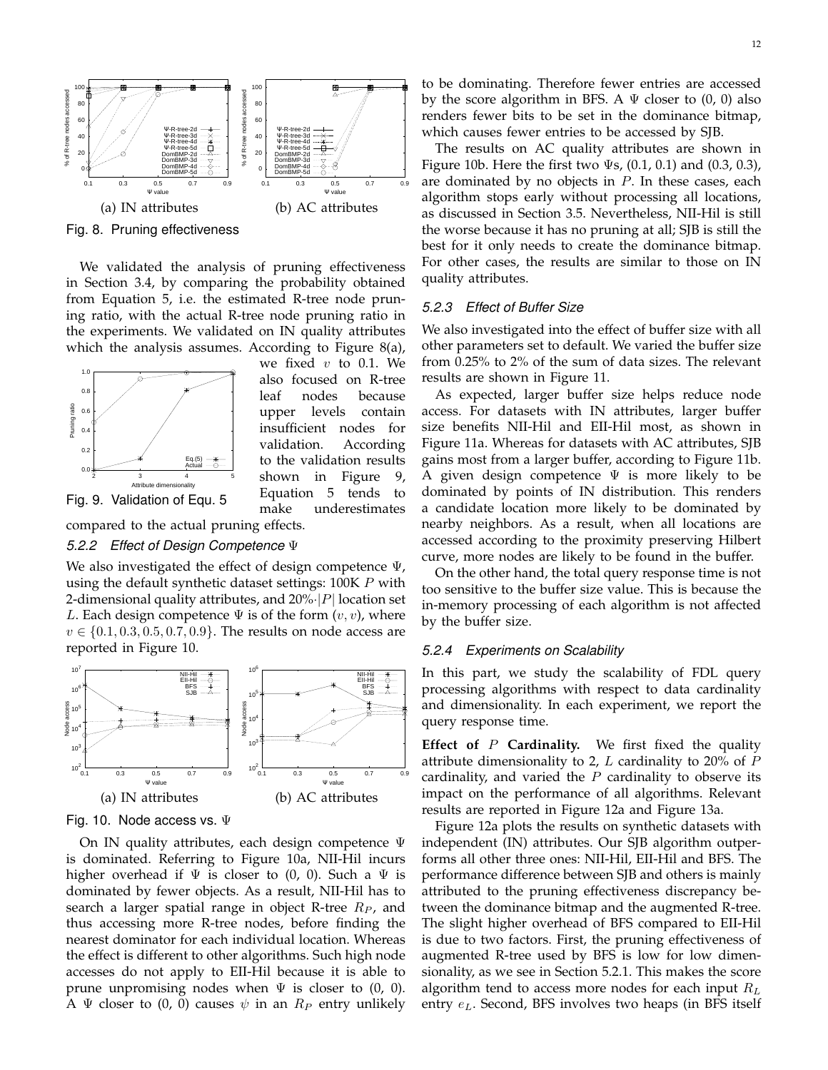

Fig. 8. Pruning effectiveness

We validated the analysis of pruning effectiveness in Section 3.4, by comparing the probability obtained from Equation 5, i.e. the estimated R-tree node pruning ratio, with the actual R-tree node pruning ratio in the experiments. We validated on IN quality attributes which the analysis assumes. According to Figure 8(a),



we fixed  $v$  to 0.1. We also focused on R-tree leaf nodes because upper levels contain insufficient nodes for validation. According to the validation results shown in Figure 9, Equation 5 tends to make underestimates

compared to the actual pruning effects.

## *5.2.2 Effect of Design Competence* Ψ

We also investigated the effect of design competence Ψ, using the default synthetic dataset settings: 100K P with 2-dimensional quality attributes, and  $20\%$   $|P|$  location set L. Each design competence  $\Psi$  is of the form  $(v, v)$ , where  $v \in \{0.1, 0.3, 0.5, 0.7, 0.9\}$ . The results on node access are reported in Figure 10.



Fig. 10. Node access vs. Ψ

On IN quality attributes, each design competence Ψ is dominated. Referring to Figure 10a, NII-Hil incurs higher overhead if  $\Psi$  is closer to (0, 0). Such a  $\Psi$  is dominated by fewer objects. As a result, NII-Hil has to search a larger spatial range in object R-tree  $R_P$ , and thus accessing more R-tree nodes, before finding the nearest dominator for each individual location. Whereas the effect is different to other algorithms. Such high node accesses do not apply to EII-Hil because it is able to prune unpromising nodes when  $\Psi$  is closer to  $(0, 0)$ . A  $\Psi$  closer to (0, 0) causes  $\psi$  in an  $R_P$  entry unlikely

which causes fewer entries to be accessed by SJB. The results on AC quality attributes are shown in Figure 10b. Here the first two  $\Psi s$ , (0.1, 0.1) and (0.3, 0.3), are dominated by no objects in  $P$ . In these cases, each algorithm stops early without processing all locations, as discussed in Section 3.5. Nevertheless, NII-Hil is still the worse because it has no pruning at all; SJB is still the best for it only needs to create the dominance bitmap. For other cases, the results are similar to those on IN quality attributes.

# *5.2.3 Effect of Buffer Size*

We also investigated into the effect of buffer size with all other parameters set to default. We varied the buffer size from 0.25% to 2% of the sum of data sizes. The relevant results are shown in Figure 11.

As expected, larger buffer size helps reduce node access. For datasets with IN attributes, larger buffer size benefits NII-Hil and EII-Hil most, as shown in Figure 11a. Whereas for datasets with AC attributes, SJB gains most from a larger buffer, according to Figure 11b. A given design competence  $\Psi$  is more likely to be dominated by points of IN distribution. This renders a candidate location more likely to be dominated by nearby neighbors. As a result, when all locations are accessed according to the proximity preserving Hilbert curve, more nodes are likely to be found in the buffer.

On the other hand, the total query response time is not too sensitive to the buffer size value. This is because the in-memory processing of each algorithm is not affected by the buffer size.

## *5.2.4 Experiments on Scalability*

In this part, we study the scalability of FDL query processing algorithms with respect to data cardinality and dimensionality. In each experiment, we report the query response time.

**Effect of** P **Cardinality.** We first fixed the quality attribute dimensionality to 2,  $L$  cardinality to 20% of  $P$ cardinality, and varied the  $P$  cardinality to observe its impact on the performance of all algorithms. Relevant results are reported in Figure 12a and Figure 13a.

Figure 12a plots the results on synthetic datasets with independent (IN) attributes. Our SJB algorithm outperforms all other three ones: NII-Hil, EII-Hil and BFS. The performance difference between SJB and others is mainly attributed to the pruning effectiveness discrepancy between the dominance bitmap and the augmented R-tree. The slight higher overhead of BFS compared to EII-Hil is due to two factors. First, the pruning effectiveness of augmented R-tree used by BFS is low for low dimensionality, as we see in Section 5.2.1. This makes the score algorithm tend to access more nodes for each input  $R_L$ entry  $e_L$ . Second, BFS involves two heaps (in BFS itself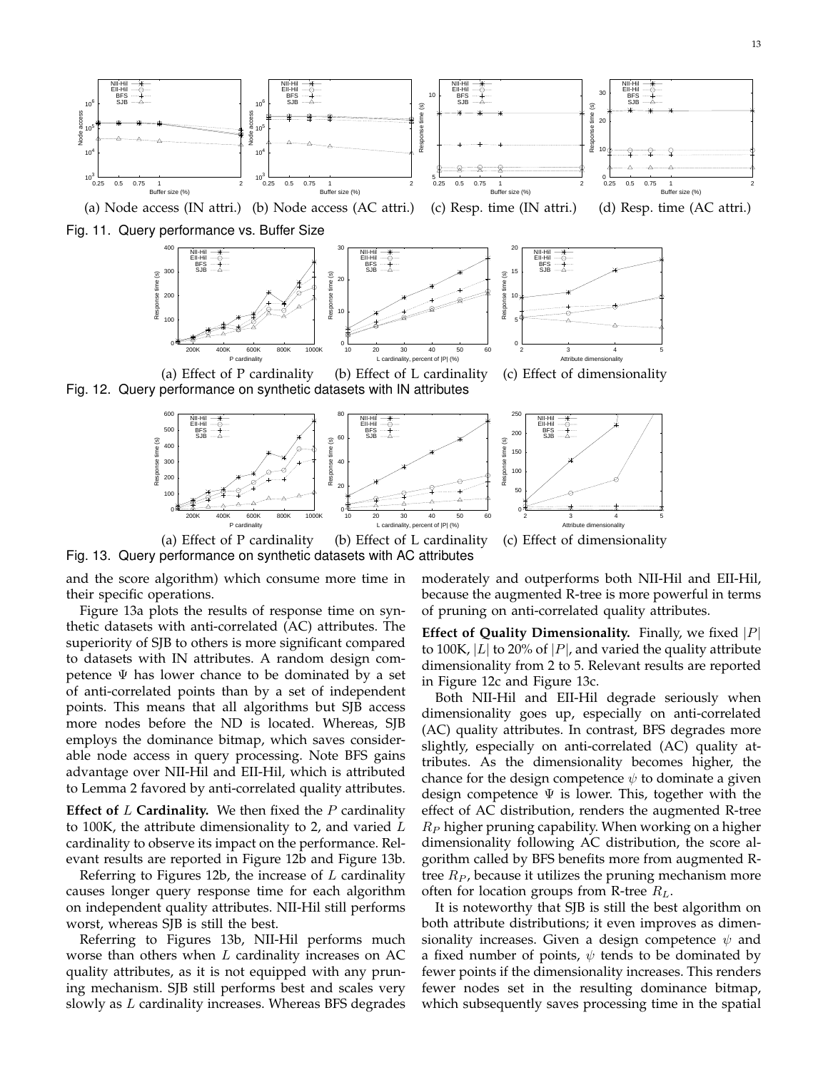

(a) Node access (IN attri.) (b) Node access (AC attri.) (c) Resp. time (IN attri.) (d) Resp. time (AC attri.)

Fig. 11. Query performance vs. Buffer Size



Fig. 12. Query performance on synthetic datasets with IN attributes



(a) Effect of P cardinality (b) Effect of L cardinality (c) Effect of dimensionality Fig. 13. Query performance on synthetic datasets with AC attributes

and the score algorithm) which consume more time in their specific operations.

Figure 13a plots the results of response time on synthetic datasets with anti-correlated (AC) attributes. The superiority of SJB to others is more significant compared to datasets with IN attributes. A random design competence  $\Psi$  has lower chance to be dominated by a set of anti-correlated points than by a set of independent points. This means that all algorithms but SJB access more nodes before the ND is located. Whereas, SJB employs the dominance bitmap, which saves considerable node access in query processing. Note BFS gains advantage over NII-Hil and EII-Hil, which is attributed to Lemma 2 favored by anti-correlated quality attributes.

**Effect of** L **Cardinality.** We then fixed the P cardinality to 100K, the attribute dimensionality to 2, and varied  $L$ cardinality to observe its impact on the performance. Relevant results are reported in Figure 12b and Figure 13b.

Referring to Figures 12b, the increase of  $L$  cardinality causes longer query response time for each algorithm on independent quality attributes. NII-Hil still performs worst, whereas SJB is still the best.

Referring to Figures 13b, NII-Hil performs much worse than others when  $L$  cardinality increases on AC quality attributes, as it is not equipped with any pruning mechanism. SJB still performs best and scales very slowly as  $L$  cardinality increases. Whereas BFS degrades moderately and outperforms both NII-Hil and EII-Hil, because the augmented R-tree is more powerful in terms of pruning on anti-correlated quality attributes.

**Effect of Quality Dimensionality.** Finally, we fixed  $|P|$ to 100K, |L| to 20% of |P|, and varied the quality attribute dimensionality from 2 to 5. Relevant results are reported in Figure 12c and Figure 13c.

Both NII-Hil and EII-Hil degrade seriously when dimensionality goes up, especially on anti-correlated (AC) quality attributes. In contrast, BFS degrades more slightly, especially on anti-correlated (AC) quality attributes. As the dimensionality becomes higher, the chance for the design competence  $\psi$  to dominate a given design competence  $\Psi$  is lower. This, together with the effect of AC distribution, renders the augmented R-tree  $R_P$  higher pruning capability. When working on a higher dimensionality following AC distribution, the score algorithm called by BFS benefits more from augmented Rtree  $R_P$ , because it utilizes the pruning mechanism more often for location groups from R-tree  $R_L$ .

It is noteworthy that SJB is still the best algorithm on both attribute distributions; it even improves as dimensionality increases. Given a design competence  $\psi$  and a fixed number of points,  $\psi$  tends to be dominated by fewer points if the dimensionality increases. This renders fewer nodes set in the resulting dominance bitmap, which subsequently saves processing time in the spatial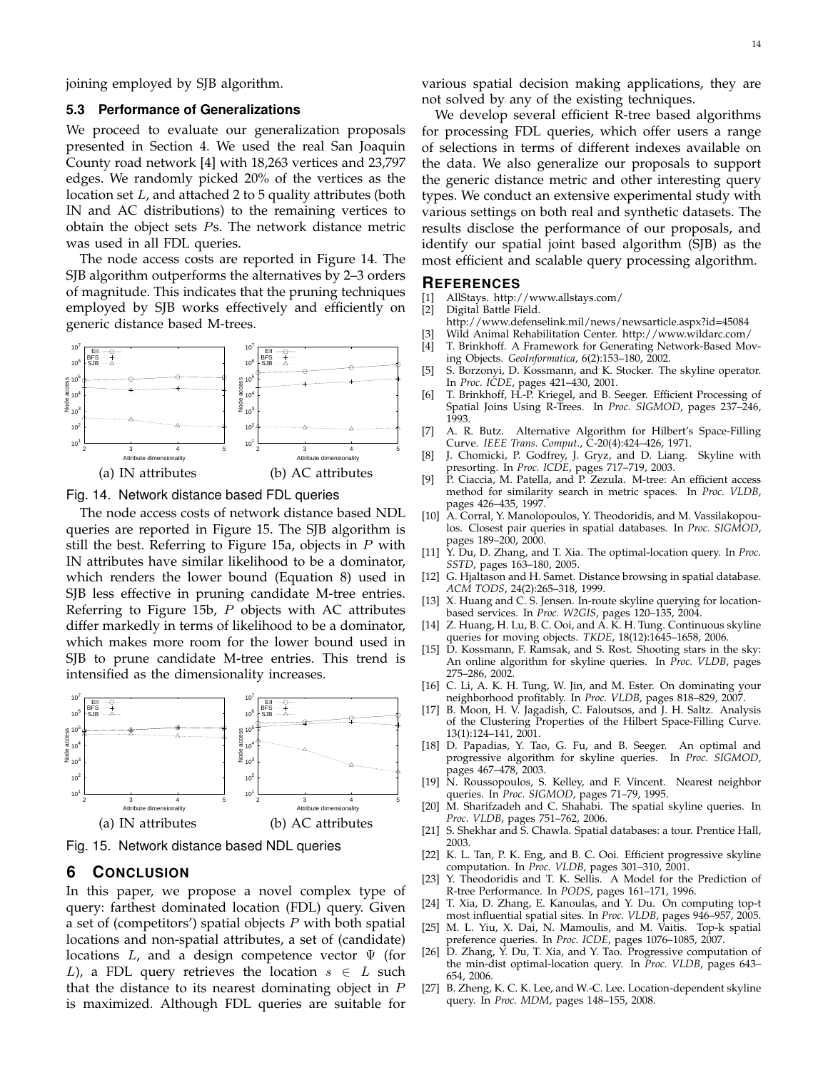joining employed by SJB algorithm.

#### **5.3 Performance of Generalizations**

We proceed to evaluate our generalization proposals presented in Section 4. We used the real San Joaquin County road network [4] with 18,263 vertices and 23,797 edges. We randomly picked 20% of the vertices as the location set L, and attached 2 to 5 quality attributes (both IN and AC distributions) to the remaining vertices to obtain the object sets Ps. The network distance metric was used in all FDL queries.

The node access costs are reported in Figure 14. The SJB algorithm outperforms the alternatives by 2–3 orders of magnitude. This indicates that the pruning techniques employed by SJB works effectively and efficiently on generic distance based M-trees.



Fig. 14. Network distance based FDL queries

The node access costs of network distance based NDL queries are reported in Figure 15. The SJB algorithm is still the best. Referring to Figure 15a, objects in  $P$  with IN attributes have similar likelihood to be a dominator, which renders the lower bound (Equation 8) used in SJB less effective in pruning candidate M-tree entries. Referring to Figure 15b,  $P$  objects with AC attributes differ markedly in terms of likelihood to be a dominator, which makes more room for the lower bound used in SJB to prune candidate M-tree entries. This trend is intensified as the dimensionality increases.



Fig. 15. Network distance based NDL queries

## **6 CONCLUSION**

In this paper, we propose a novel complex type of query: farthest dominated location (FDL) query. Given a set of (competitors') spatial objects  $P$  with both spatial locations and non-spatial attributes, a set of (candidate) locations  $L$ , and a design competence vector  $\Psi$  (for L), a FDL query retrieves the location  $s \in L$  such that the distance to its nearest dominating object in  $P$ is maximized. Although FDL queries are suitable for

various spatial decision making applications, they are not solved by any of the existing techniques.

We develop several efficient R-tree based algorithms for processing FDL queries, which offer users a range of selections in terms of different indexes available on the data. We also generalize our proposals to support the generic distance metric and other interesting query types. We conduct an extensive experimental study with various settings on both real and synthetic datasets. The results disclose the performance of our proposals, and identify our spatial joint based algorithm (SJB) as the most efficient and scalable query processing algorithm.

# **REFERENCES**

- [1] AllStays. http://www.allstays.com/
- Digital Battle Field.
- http://www.defenselink.mil/news/newsarticle.aspx?id=45084
- [3] Wild Animal Rehabilitation Center. http://www.wildarc.com/
- T. Brinkhoff. A Framework for Generating Network-Based Moving Objects. *GeoInformatica*, 6(2):153–180, 2002.
- [5] S. Borzonyi, D. Kossmann, and K. Stocker. The skyline operator. In *Proc. ICDE*, pages 421–430, 2001.
- [6] T. Brinkhoff, H.-P. Kriegel, and B. Seeger. Efficient Processing of Spatial Joins Using R-Trees. In *Proc. SIGMOD*, pages 237–246, 1993.
- [7] A. R. Butz. Alternative Algorithm for Hilbert's Space-Filling Curve. *IEEE Trans. Comput.*, C-20(4):424–426, 1971.
- [8] J. Chomicki, P. Godfrey, J. Gryz, and D. Liang. Skyline with presorting. In *Proc. ICDE*, pages 717–719, 2003.
- [9] P. Ciaccia, M. Patella, and P. Zezula. M-tree: An efficient access method for similarity search in metric spaces. In *Proc. VLDB*, pages 426–435, 1997.
- [10] A. Corral, Y. Manolopoulos, Y. Theodoridis, and M. Vassilakopoulos. Closest pair queries in spatial databases. In *Proc. SIGMOD*, pages 189–200, 2000.
- [11] Y. Du, D. Zhang, and T. Xia. The optimal-location query. In *Proc. SSTD*, pages 163–180, 2005.
- [12] G. Hjaltason and H. Samet. Distance browsing in spatial database. *ACM TODS*, 24(2):265–318, 1999.
- [13] X. Huang and C. S. Jensen. In-route skyline querying for locationbased services. In *Proc. W2GIS*, pages 120–135, 2004.
- [14] Z. Huang, H. Lu, B. C. Ooi, and A. K. H. Tung. Continuous skyline queries for moving objects. *TKDE*, 18(12):1645–1658, 2006.
- [15] D. Kossmann, F. Ramsak, and S. Rost. Shooting stars in the sky: An online algorithm for skyline queries. In *Proc. VLDB*, pages 275–286, 2002.
- [16] C. Li, A. K. H. Tung, W. Jin, and M. Ester. On dominating your neighborhood profitably. In *Proc. VLDB*, pages 818–829, 2007.
- [17] B. Moon, H. V. Jagadish, C. Faloutsos, and J. H. Saltz. Analysis of the Clustering Properties of the Hilbert Space-Filling Curve. 13(1):124–141, 2001.
- [18] D. Papadias, Y. Tao, G. Fu, and B. Seeger. An optimal and progressive algorithm for skyline queries. In *Proc. SIGMOD*, pages 467–478, 2003.
- [19] N. Roussopoulos, S. Kelley, and F. Vincent. Nearest neighbor queries. In *Proc. SIGMOD*, pages 71–79, 1995.
- [20] M. Sharifzadeh and C. Shahabi. The spatial skyline queries. In *Proc. VLDB*, pages 751–762, 2006.
- [21] S. Shekhar and S. Chawla. Spatial databases: a tour. Prentice Hall, 2003.
- [22] K. L. Tan, P. K. Eng, and B. C. Ooi. Efficient progressive skyline computation. In *Proc. VLDB*, pages 301–310, 2001.
- [23] Y. Theodoridis and T. K. Sellis. A Model for the Prediction of R-tree Performance. In *PODS*, pages 161–171, 1996.
- [24] T. Xia, D. Zhang, E. Kanoulas, and Y. Du. On computing top-t most influential spatial sites. In *Proc. VLDB*, pages 946–957, 2005.
- [25] M. L. Yiu, X. Dai, N. Mamoulis, and M. Vaitis. Top-k spatial preference queries. In *Proc. ICDE*, pages 1076–1085, 2007.
- [26] D. Zhang, Y. Du, T. Xia, and Y. Tao. Progressive computation of the min-dist optimal-location query. In *Proc. VLDB*, pages 643– 654, 2006.
- [27] B. Zheng, K. C. K. Lee, and W.-C. Lee. Location-dependent skyline query. In *Proc. MDM*, pages 148–155, 2008.